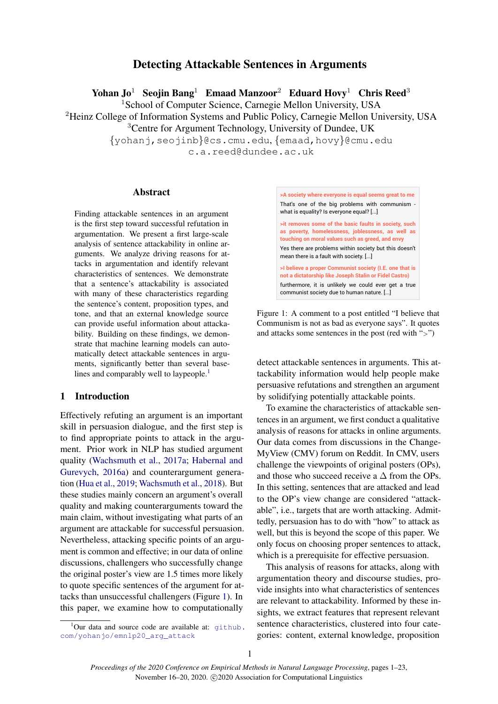# Detecting Attackable Sentences in Arguments

Yohan  $J_0^1$  Seojin Bang<sup>1</sup> Emaad Manzoor<sup>2</sup> Eduard Hovy<sup>1</sup> Chris Reed<sup>3</sup>

<sup>1</sup>School of Computer Science, Carnegie Mellon University, USA

<sup>2</sup>Heinz College of Information Systems and Public Policy, Carnegie Mellon University, USA <sup>3</sup>Centre for Argument Technology, University of Dundee, UK

{yohanj,seojinb}@cs.cmu.edu, {emaad,hovy}@cmu.edu

c.a.reed@dundee.ac.uk

# Abstract

Finding attackable sentences in an argument is the first step toward successful refutation in argumentation. We present a first large-scale analysis of sentence attackability in online arguments. We analyze driving reasons for attacks in argumentation and identify relevant characteristics of sentences. We demonstrate that a sentence's attackability is associated with many of these characteristics regarding the sentence's content, proposition types, and tone, and that an external knowledge source can provide useful information about attackability. Building on these findings, we demonstrate that machine learning models can automatically detect attackable sentences in arguments, significantly better than several base-lines and comparably well to laypeople.<sup>[1](#page-0-0)</sup>

### 1 Introduction

Effectively refuting an argument is an important skill in persuasion dialogue, and the first step is to find appropriate points to attack in the argument. Prior work in NLP has studied argument quality [\(Wachsmuth et al.,](#page-10-0) [2017a;](#page-10-0) [Habernal and](#page-9-0) [Gurevych,](#page-9-0) [2016a\)](#page-9-0) and counterargument generation [\(Hua et al.,](#page-9-1) [2019;](#page-9-1) [Wachsmuth et al.,](#page-10-1) [2018\)](#page-10-1). But these studies mainly concern an argument's overall quality and making counterarguments toward the main claim, without investigating what parts of an argument are attackable for successful persuasion. Nevertheless, attacking specific points of an argument is common and effective; in our data of online discussions, challengers who successfully change the original poster's view are 1.5 times more likely to quote specific sentences of the argument for attacks than unsuccessful challengers (Figure [1\)](#page-0-1). In this paper, we examine how to computationally

<span id="page-0-1"></span>

Figure 1: A comment to a post entitled "I believe that Communism is not as bad as everyone says". It quotes and attacks some sentences in the post (red with ">")

detect attackable sentences in arguments. This attackability information would help people make persuasive refutations and strengthen an argument by solidifying potentially attackable points.

To examine the characteristics of attackable sentences in an argument, we first conduct a qualitative analysis of reasons for attacks in online arguments. Our data comes from discussions in the Change-MyView (CMV) forum on Reddit. In CMV, users challenge the viewpoints of original posters (OPs), and those who succeed receive a  $\Delta$  from the OPs. In this setting, sentences that are attacked and lead to the OP's view change are considered "attackable", i.e., targets that are worth attacking. Admittedly, persuasion has to do with "how" to attack as well, but this is beyond the scope of this paper. We only focus on choosing proper sentences to attack, which is a prerequisite for effective persuasion.

This analysis of reasons for attacks, along with argumentation theory and discourse studies, provide insights into what characteristics of sentences are relevant to attackability. Informed by these insights, we extract features that represent relevant sentence characteristics, clustered into four categories: content, external knowledge, proposition

<span id="page-0-0"></span> $1$ Our data and source code are available at:  $q$ ithub. [com/yohanjo/emnlp20\\_arg\\_attack](github.com/yohanjo/emnlp20_arg_attack)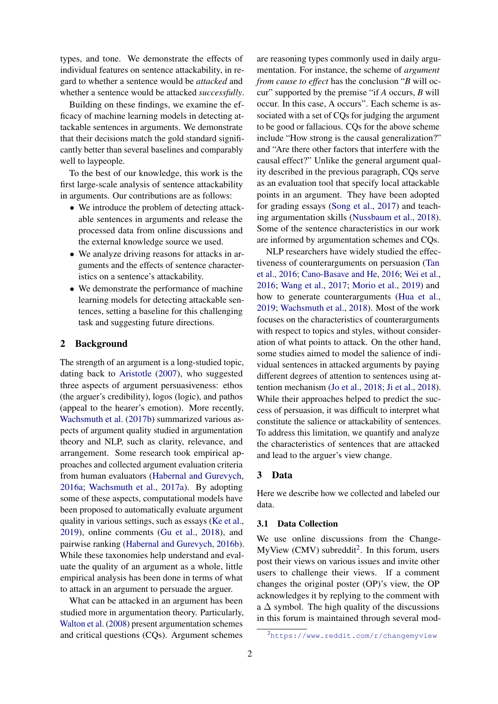types, and tone. We demonstrate the effects of individual features on sentence attackability, in regard to whether a sentence would be *attacked* and whether a sentence would be attacked *successfully*.

Building on these findings, we examine the efficacy of machine learning models in detecting attackable sentences in arguments. We demonstrate that their decisions match the gold standard significantly better than several baselines and comparably well to laypeople.

To the best of our knowledge, this work is the first large-scale analysis of sentence attackability in arguments. Our contributions are as follows:

- We introduce the problem of detecting attackable sentences in arguments and release the processed data from online discussions and the external knowledge source we used.
- We analyze driving reasons for attacks in arguments and the effects of sentence characteristics on a sentence's attackability.
- We demonstrate the performance of machine learning models for detecting attackable sentences, setting a baseline for this challenging task and suggesting future directions.

# 2 Background

The strength of an argument is a long-studied topic, dating back to [Aristotle](#page-8-0) [\(2007\)](#page-8-0), who suggested three aspects of argument persuasiveness: ethos (the arguer's credibility), logos (logic), and pathos (appeal to the hearer's emotion). More recently, [Wachsmuth et al.](#page-10-2) [\(2017b\)](#page-10-2) summarized various aspects of argument quality studied in argumentation theory and NLP, such as clarity, relevance, and arrangement. Some research took empirical approaches and collected argument evaluation criteria from human evaluators [\(Habernal and Gurevych,](#page-9-0) [2016a;](#page-9-0) [Wachsmuth et al.,](#page-10-0) [2017a\)](#page-10-0). By adopting some of these aspects, computational models have been proposed to automatically evaluate argument quality in various settings, such as essays [\(Ke et al.,](#page-9-2) [2019\)](#page-9-2), online comments [\(Gu et al.,](#page-9-3) [2018\)](#page-9-3), and pairwise ranking [\(Habernal and Gurevych,](#page-9-4) [2016b\)](#page-9-4). While these taxonomies help understand and evaluate the quality of an argument as a whole, little empirical analysis has been done in terms of what to attack in an argument to persuade the arguer.

What can be attacked in an argument has been studied more in argumentation theory. Particularly, [Walton et al.](#page-10-3) [\(2008\)](#page-10-3) present argumentation schemes and critical questions (CQs). Argument schemes

are reasoning types commonly used in daily argumentation. For instance, the scheme of *argument from cause to effect* has the conclusion "*B* will occur" supported by the premise "if *A* occurs, *B* will occur. In this case, A occurs". Each scheme is associated with a set of CQs for judging the argument to be good or fallacious. CQs for the above scheme include "How strong is the causal generalization?" and "Are there other factors that interfere with the causal effect?" Unlike the general argument quality described in the previous paragraph, CQs serve as an evaluation tool that specify local attackable points in an argument. They have been adopted for grading essays [\(Song et al.,](#page-10-4) [2017\)](#page-10-4) and teaching argumentation skills [\(Nussbaum et al.,](#page-10-5) [2018\)](#page-10-5). Some of the sentence characteristics in our work are informed by argumentation schemes and CQs.

NLP researchers have widely studied the effectiveness of counterarguments on persuasion [\(Tan](#page-10-6) [et al.,](#page-10-6) [2016;](#page-10-6) [Cano-Basave and He,](#page-9-5) [2016;](#page-9-5) [Wei et al.,](#page-10-7) [2016;](#page-10-7) [Wang et al.,](#page-10-8) [2017;](#page-10-8) [Morio et al.,](#page-9-6) [2019\)](#page-9-6) and how to generate counterarguments [\(Hua et al.,](#page-9-1) [2019;](#page-9-1) [Wachsmuth et al.,](#page-10-1) [2018\)](#page-10-1). Most of the work focuses on the characteristics of counterarguments with respect to topics and styles, without consideration of what points to attack. On the other hand, some studies aimed to model the salience of individual sentences in attacked arguments by paying different degrees of attention to sentences using attention mechanism [\(Jo et al.,](#page-9-7) [2018;](#page-9-7) [Ji et al.,](#page-9-8) [2018\)](#page-9-8). While their approaches helped to predict the success of persuasion, it was difficult to interpret what constitute the salience or attackability of sentences. To address this limitation, we quantify and analyze the characteristics of sentences that are attacked and lead to the arguer's view change.

# 3 Data

Here we describe how we collected and labeled our data.

### 3.1 Data Collection

We use online discussions from the Change-MyView (CMV) subreddit<sup>[2](#page-1-0)</sup>. In this forum, users post their views on various issues and invite other users to challenge their views. If a comment changes the original poster (OP)'s view, the OP acknowledges it by replying to the comment with a  $\Delta$  symbol. The high quality of the discussions in this forum is maintained through several mod-

<span id="page-1-0"></span><sup>2</sup><https://www.reddit.com/r/changemyview>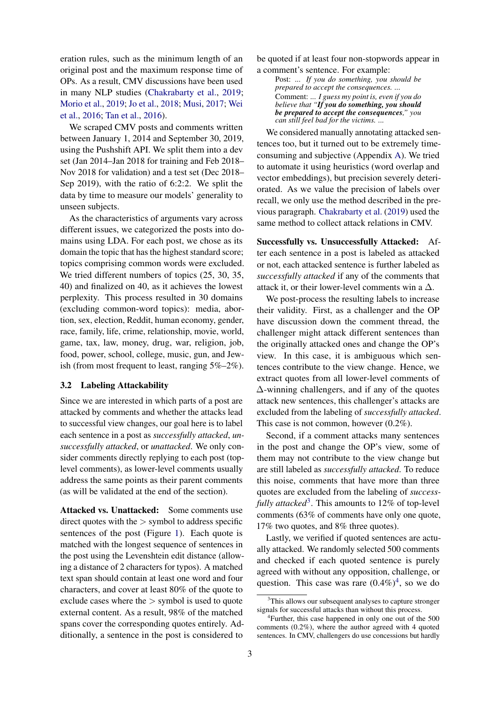eration rules, such as the minimum length of an original post and the maximum response time of OPs. As a result, CMV discussions have been used in many NLP studies [\(Chakrabarty et al.,](#page-9-9) [2019;](#page-9-9) [Morio et al.,](#page-9-6) [2019;](#page-9-6) [Jo et al.,](#page-9-7) [2018;](#page-9-7) [Musi,](#page-9-10) [2017;](#page-9-10) [Wei](#page-10-7) [et al.,](#page-10-7) [2016;](#page-10-7) [Tan et al.,](#page-10-6) [2016\)](#page-10-6).

We scraped CMV posts and comments written between January 1, 2014 and September 30, 2019, using the Pushshift API. We split them into a dev set (Jan 2014–Jan 2018 for training and Feb 2018– Nov 2018 for validation) and a test set (Dec 2018– Sep 2019), with the ratio of 6:2:2. We split the data by time to measure our models' generality to unseen subjects.

As the characteristics of arguments vary across different issues, we categorized the posts into domains using LDA. For each post, we chose as its domain the topic that has the highest standard score; topics comprising common words were excluded. We tried different numbers of topics (25, 30, 35, 40) and finalized on 40, as it achieves the lowest perplexity. This process resulted in 30 domains (excluding common-word topics): media, abortion, sex, election, Reddit, human economy, gender, race, family, life, crime, relationship, movie, world, game, tax, law, money, drug, war, religion, job, food, power, school, college, music, gun, and Jewish (from most frequent to least, ranging 5%–2%).

#### 3.2 Labeling Attackability

Since we are interested in which parts of a post are attacked by comments and whether the attacks lead to successful view changes, our goal here is to label each sentence in a post as *successfully attacked*, *unsuccessfully attacked*, or *unattacked*. We only consider comments directly replying to each post (toplevel comments), as lower-level comments usually address the same points as their parent comments (as will be validated at the end of the section).

Attacked vs. Unattacked: Some comments use direct quotes with the  $>$  symbol to address specific sentences of the post (Figure [1\)](#page-0-1). Each quote is matched with the longest sequence of sentences in the post using the Levenshtein edit distance (allowing a distance of 2 characters for typos). A matched text span should contain at least one word and four characters, and cover at least 80% of the quote to exclude cases where the  $>$  symbol is used to quote external content. As a result, 98% of the matched spans cover the corresponding quotes entirely. Additionally, a sentence in the post is considered to

be quoted if at least four non-stopwords appear in a comment's sentence. For example:

Post: *... If you do something, you should be prepared to accept the consequences. ...* Comment: *... I guess my point is, even if you do believe that "If you do something, you should be prepared to accept the consequences," you can still feel bad for the victims. ...*

We considered manually annotating attacked sentences too, but it turned out to be extremely timeconsuming and subjective (Appendix [A\)](#page-11-0). We tried to automate it using heuristics (word overlap and vector embeddings), but precision severely deteriorated. As we value the precision of labels over recall, we only use the method described in the previous paragraph. [Chakrabarty et al.](#page-9-9) [\(2019\)](#page-9-9) used the same method to collect attack relations in CMV.

Successfully vs. Unsuccessfully Attacked: After each sentence in a post is labeled as attacked or not, each attacked sentence is further labeled as *successfully attacked* if any of the comments that attack it, or their lower-level comments win a  $\Delta$ .

We post-process the resulting labels to increase their validity. First, as a challenger and the OP have discussion down the comment thread, the challenger might attack different sentences than the originally attacked ones and change the OP's view. In this case, it is ambiguous which sentences contribute to the view change. Hence, we extract quotes from all lower-level comments of  $\Delta$ -winning challengers, and if any of the quotes attack new sentences, this challenger's attacks are excluded from the labeling of *successfully attacked*. This case is not common, however (0.2%).

Second, if a comment attacks many sentences in the post and change the OP's view, some of them may not contribute to the view change but are still labeled as *successfully attacked*. To reduce this noise, comments that have more than three quotes are excluded from the labeling of *success-*fully attacked<sup>[3](#page-2-0)</sup>. This amounts to 12% of top-level comments (63% of comments have only one quote, 17% two quotes, and 8% three quotes).

Lastly, we verified if quoted sentences are actually attacked. We randomly selected 500 comments and checked if each quoted sentence is purely agreed with without any opposition, challenge, or question. This case was rare  $(0.4\%)^4$  $(0.4\%)^4$  $(0.4\%)^4$ , so we do

<span id="page-2-0"></span> $3$ This allows our subsequent analyses to capture stronger signals for successful attacks than without this process.

<span id="page-2-1"></span><sup>4</sup> Further, this case happened in only one out of the 500 comments (0.2%), where the author agreed with 4 quoted sentences. In CMV, challengers do use concessions but hardly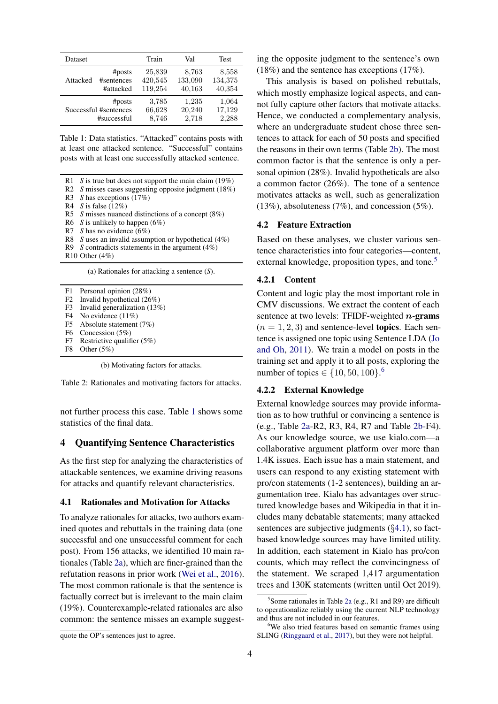<span id="page-3-0"></span>

| Dataset               |            | Train   | Val     | <b>Test</b> |
|-----------------------|------------|---------|---------|-------------|
| Attacked              | #posts     | 25,839  | 8,763   | 8,558       |
|                       | #sentences | 420,545 | 133,090 | 134,375     |
|                       | #attacked  | 119,254 | 40,163  | 40,354      |
| # posts               |            | 3.785   | 1,235   | 1,064       |
| Successful #sentences |            | 66,628  | 20,240  | 17,129      |
| #successful           |            | 8,746   | 2,718   | 2,288       |

Table 1: Data statistics. "Attacked" contains posts with at least one attacked sentence. "Successful" contains posts with at least one successfully attacked sentence.

<span id="page-3-1"></span>R1 *S* is true but does not support the main claim (19%)

R2 *S* misses cases suggesting opposite judgment (18%)

R3 *S* has exceptions (17%)

R4 *S* is false (12%)

R5 *S* misses nuanced distinctions of a concept (8%)

R6 *S* is unlikely to happen (6%)

R7 *S* has no evidence (6%)

R8 *S* uses an invalid assumption or hypothetical (4%)

R9 *S* contradicts statements in the argument (4%)

R10 Other (4%)

(a) Rationales for attacking a sentence (*S*).

F2 Invalid hypothetical (26%)<br>F3 Invalid generalization (13%)

Invalid generalization  $(13%)$ 

- F4 No evidence (11%)<br>F5 Absolute statement Absolute statement (7%)
- 

F6 Concession (5%)

F7 Restrictive qualifier (5%)

F8 Other (5%)

(b) Motivating factors for attacks.

Table 2: Rationales and motivating factors for attacks.

not further process this case. Table [1](#page-3-0) shows some statistics of the final data.

# <span id="page-3-5"></span>4 Quantifying Sentence Characteristics

As the first step for analyzing the characteristics of attackable sentences, we examine driving reasons for attacks and quantify relevant characteristics.

#### <span id="page-3-4"></span>4.1 Rationales and Motivation for Attacks

To analyze rationales for attacks, two authors examined quotes and rebuttals in the training data (one successful and one unsuccessful comment for each post). From 156 attacks, we identified 10 main rationales (Table [2a\)](#page-3-1), which are finer-grained than the refutation reasons in prior work [\(Wei et al.,](#page-10-7) [2016\)](#page-10-7). The most common rationale is that the sentence is factually correct but is irrelevant to the main claim (19%). Counterexample-related rationales are also common: the sentence misses an example suggest-

ing the opposite judgment to the sentence's own (18%) and the sentence has exceptions (17%).

This analysis is based on polished rebuttals, which mostly emphasize logical aspects, and cannot fully capture other factors that motivate attacks. Hence, we conducted a complementary analysis, where an undergraduate student chose three sentences to attack for each of 50 posts and specified the reasons in their own terms (Table [2b\)](#page-3-1). The most common factor is that the sentence is only a personal opinion (28%). Invalid hypotheticals are also a common factor (26%). The tone of a sentence motivates attacks as well, such as generalization (13%), absoluteness (7%), and concession (5%).

#### 4.2 Feature Extraction

Based on these analyses, we cluster various sentence characteristics into four categories—content, external knowledge, proposition types, and tone.<sup>[5](#page-3-2)</sup>

### 4.2.1 Content

Content and logic play the most important role in CMV discussions. We extract the content of each sentence at two levels: TFIDF-weighted  $n$ -grams  $(n = 1, 2, 3)$  and sentence-level **topics**. Each sentence is assigned one topic using Sentence LDA [\(Jo](#page-9-11) [and Oh,](#page-9-11) [2011\)](#page-9-11). We train a model on posts in the training set and apply it to all posts, exploring the number of topics ∈  ${10, 50, 100}$ .<sup>[6](#page-3-3)</sup>

#### <span id="page-3-6"></span>4.2.2 External Knowledge

External knowledge sources may provide information as to how truthful or convincing a sentence is (e.g., Table [2a-](#page-3-1)R2, R3, R4, R7 and Table [2b-](#page-3-1)F4). As our knowledge source, we use kialo.com—a collaborative argument platform over more than 1.4K issues. Each issue has a main statement, and users can respond to any existing statement with pro/con statements (1-2 sentences), building an argumentation tree. Kialo has advantages over structured knowledge bases and Wikipedia in that it includes many debatable statements; many attacked sentences are subjective judgments (§[4.1\)](#page-3-4), so factbased knowledge sources may have limited utility. In addition, each statement in Kialo has pro/con counts, which may reflect the convincingness of the statement. We scraped 1,417 argumentation trees and 130K statements (written until Oct 2019).

<span id="page-3-2"></span><sup>5</sup> Some rationales in Table [2a](#page-3-1) (e.g., R1 and R9) are difficult to operationalize reliably using the current NLP technology and thus are not included in our features.

<span id="page-3-3"></span> $6$ We also tried features based on semantic frames using SLING [\(Ringgaard et al.,](#page-10-9) [2017\)](#page-10-9), but they were not helpful.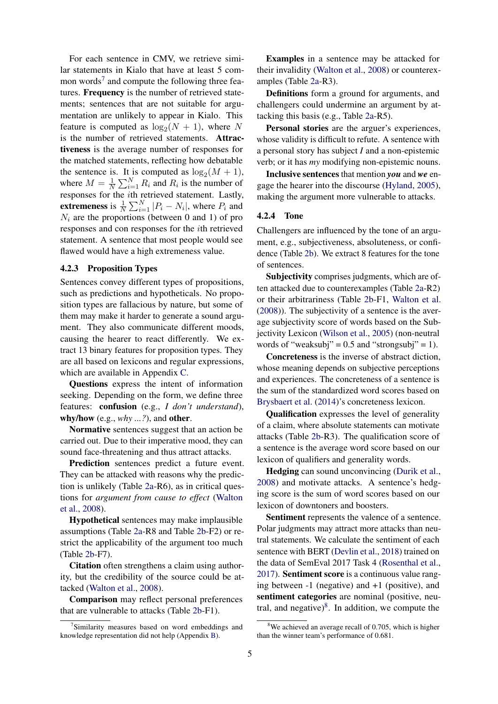For each sentence in CMV, we retrieve similar statements in Kialo that have at least 5 com-mon words<sup>[7](#page-4-0)</sup> and compute the following three features. Frequency is the number of retrieved statements; sentences that are not suitable for argumentation are unlikely to appear in Kialo. This feature is computed as  $\log_2(N+1)$ , where N is the number of retrieved statements. Attractiveness is the average number of responses for the matched statements, reflecting how debatable the sentence is. It is computed as  $log_2(M + 1)$ , where  $M = \frac{1}{N}$  $\frac{1}{N} \sum_{i=1}^{N} R_i$  and  $R_i$  is the number of responses for the ith retrieved statement. Lastly, **extremeness** is  $\frac{1}{N} \sum_{i=1}^{N} |P_i - N_i|$ , where  $P_i$  and  $N_i$  are the proportions (between 0 and 1) of pro responses and con responses for the ith retrieved statement. A sentence that most people would see flawed would have a high extremeness value.

#### 4.2.3 Proposition Types

Sentences convey different types of propositions, such as predictions and hypotheticals. No proposition types are fallacious by nature, but some of them may make it harder to generate a sound argument. They also communicate different moods, causing the hearer to react differently. We extract 13 binary features for proposition types. They are all based on lexicons and regular expressions, which are available in Appendix [C.](#page-13-0)

Questions express the intent of information seeking. Depending on the form, we define three features: confusion (e.g., *I don't understand*), why/how (e.g., *why ...?*), and other.

Normative sentences suggest that an action be carried out. Due to their imperative mood, they can sound face-threatening and thus attract attacks.

Prediction sentences predict a future event. They can be attacked with reasons why the prediction is unlikely (Table [2a-](#page-3-1)R6), as in critical questions for *argument from cause to effect* [\(Walton](#page-10-3) [et al.,](#page-10-3) [2008\)](#page-10-3).

Hypothetical sentences may make implausible assumptions (Table [2a-](#page-3-1)R8 and Table [2b-](#page-3-1)F2) or restrict the applicability of the argument too much (Table [2b-](#page-3-1)F7).

Citation often strengthens a claim using authority, but the credibility of the source could be attacked [\(Walton et al.,](#page-10-3) [2008\)](#page-10-3).

Comparison may reflect personal preferences that are vulnerable to attacks (Table [2b-](#page-3-1)F1).

Examples in a sentence may be attacked for their invalidity [\(Walton et al.,](#page-10-3) [2008\)](#page-10-3) or counterexamples (Table [2a-](#page-3-1)R3).

Definitions form a ground for arguments, and challengers could undermine an argument by attacking this basis (e.g., Table [2a-](#page-3-1)R5).

Personal stories are the arguer's experiences, whose validity is difficult to refute. A sentence with a personal story has subject *I* and a non-epistemic verb; or it has *my* modifying non-epistemic nouns.

Inclusive sentences that mention *you* and *we* engage the hearer into the discourse [\(Hyland,](#page-9-12) [2005\)](#page-9-12), making the argument more vulnerable to attacks.

#### 4.2.4 Tone

Challengers are influenced by the tone of an argument, e.g., subjectiveness, absoluteness, or confidence (Table [2b\)](#page-3-1). We extract 8 features for the tone of sentences.

Subjectivity comprises judgments, which are often attacked due to counterexamples (Table [2a-](#page-3-1)R2) or their arbitrariness (Table [2b-](#page-3-1)F1, [Walton et al.](#page-10-3) [\(2008\)](#page-10-3)). The subjectivity of a sentence is the average subjectivity score of words based on the Subjectivity Lexicon [\(Wilson et al.,](#page-10-10) [2005\)](#page-10-10) (non-neutral words of "weaksubj" =  $0.5$  and "strongsubj" = 1).

Concreteness is the inverse of abstract diction, whose meaning depends on subjective perceptions and experiences. The concreteness of a sentence is the sum of the standardized word scores based on [Brysbaert et al.](#page-8-1) [\(2014\)](#page-8-1)'s concreteness lexicon.

Qualification expresses the level of generality of a claim, where absolute statements can motivate attacks (Table [2b-](#page-3-1)R3). The qualification score of a sentence is the average word score based on our lexicon of qualifiers and generality words.

Hedging can sound unconvincing [\(Durik et al.,](#page-9-13) [2008\)](#page-9-13) and motivate attacks. A sentence's hedging score is the sum of word scores based on our lexicon of downtoners and boosters.

Sentiment represents the valence of a sentence. Polar judgments may attract more attacks than neutral statements. We calculate the sentiment of each sentence with BERT [\(Devlin et al.,](#page-9-14) [2018\)](#page-9-14) trained on the data of SemEval 2017 Task 4 [\(Rosenthal et al.,](#page-10-11) [2017\)](#page-10-11). Sentiment score is a continuous value ranging between -1 (negative) and +1 (positive), and sentiment categories are nominal (positive, neutral, and negative) $8$ . In addition, we compute the

<span id="page-4-0"></span><sup>&</sup>lt;sup>7</sup>Similarity measures based on word embeddings and knowledge representation did not help (Appendix [B\)](#page-11-1).

<span id="page-4-1"></span><sup>&</sup>lt;sup>8</sup>We achieved an average recall of 0.705, which is higher than the winner team's performance of 0.681.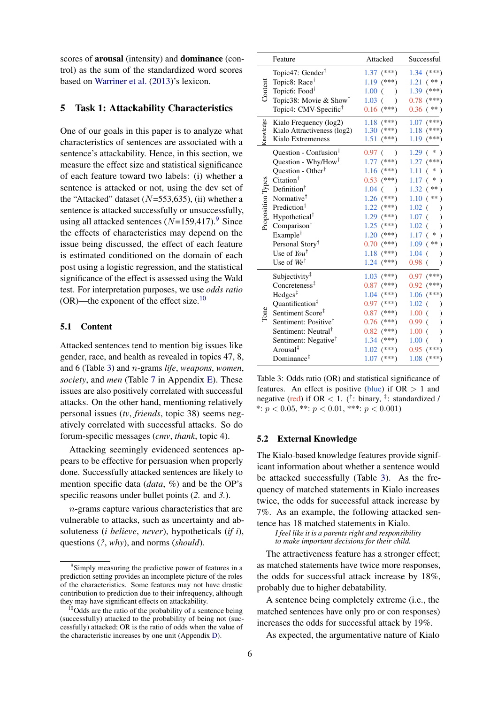scores of arousal (intensity) and dominance (control) as the sum of the standardized word scores based on [Warriner et al.](#page-10-12) [\(2013\)](#page-10-12)'s lexicon.

# <span id="page-5-3"></span>5 Task 1: Attackability Characteristics

One of our goals in this paper is to analyze what characteristics of sentences are associated with a sentence's attackability. Hence, in this section, we measure the effect size and statistical significance of each feature toward two labels: (i) whether a sentence is attacked or not, using the dev set of the "Attacked" dataset  $(N=553,635)$ , (ii) whether a sentence is attacked successfully or unsuccessfully, using all attacked sentences  $(N=159,417)$  $(N=159,417)$  $(N=159,417)$ .<sup>9</sup> Since the effects of characteristics may depend on the issue being discussed, the effect of each feature is estimated conditioned on the domain of each post using a logistic regression, and the statistical significance of the effect is assessed using the Wald test. For interpretation purposes, we use *odds ratio* (OR)—the exponent of the effect size.[10](#page-5-1)

# 5.1 Content

Attacked sentences tend to mention big issues like gender, race, and health as revealed in topics 47, 8, and 6 (Table [3\)](#page-5-2) and n-grams *life*, *weapons*, *women*, *society*, and *men* (Table [7](#page-17-0) in Appendix [E\)](#page-16-0). These issues are also positively correlated with successful attacks. On the other hand, mentioning relatively personal issues (*tv*, *friends*, topic 38) seems negatively correlated with successful attacks. So do forum-specific messages (*cmv*, *thank*, topic 4).

Attacking seemingly evidenced sentences appears to be effective for persuasion when properly done. Successfully attacked sentences are likely to mention specific data (*data*, *%*) and be the OP's specific reasons under bullet points (*2.* and *3.*).

n-grams capture various characteristics that are vulnerable to attacks, such as uncertainty and absoluteness (*i believe*, *never*), hypotheticals (*if i*), questions (*?*, *why*), and norms (*should*).

<span id="page-5-2"></span>

|                   | Feature                                              | Attacked                  | Successful                                 |
|-------------------|------------------------------------------------------|---------------------------|--------------------------------------------|
|                   | Topic47: Gender <sup>†</sup>                         | $1.37$ (***)              | $1.34$ (***)                               |
|                   | Topic8: Race <sup>†</sup>                            | $1.19$ (***)              | $(**)$<br>1.21                             |
| Content           | Topic6: Food <sup>†</sup>                            | $1.00$ (<br>$\lambda$     | $1.39$ (***)                               |
|                   | Topic38: Movie & Show <sup>†</sup>                   | $1.03$ (<br>$\lambda$     | $0.78$ (***)                               |
|                   | Topic4: CMV-Specific <sup>†</sup>                    | $0.16$ (***)              | $(**)$<br>0.36                             |
|                   | Kialo Frequency (log2)                               | $1.18$ (***)              | $(***)$<br>1.07                            |
| <b>Snowledge</b>  | Kialo Attractiveness (log2)                          | $1.30$ (***)              | 1.18<br>$(***)$                            |
|                   | Kialo Extremeness                                    | 1.51<br>$(***)$           | 1.19<br>$(***)$                            |
|                   | Question - Confusion <sup>†</sup>                    | $0.97$ (<br>$\mathcal{E}$ | 1.29<br>$\ast$<br>€                        |
|                   | Question - Why/How <sup>†</sup>                      | $1.77$ (***)              | $(***)$<br>1.27                            |
|                   | Question - Other <sup>†</sup>                        | $1.16$ (***)              | 1.11<br>∗<br>$\overline{(\ }$<br>$\lambda$ |
|                   | Citation <sup>†</sup>                                | $0.53$ (***)              | ∗<br>1.17<br>€                             |
|                   | Definition <sup>†</sup>                              | $1.04$ $($                | 1.32<br>$(**)$                             |
| Proposition Types | Normative <sup>†</sup>                               | $1.26$ (***)              | 1.10<br>$(**)$                             |
|                   | Prediction <sup>†</sup>                              | $1.22$ (***)              | 1.02<br>€<br>$\mathcal{E}$                 |
|                   | Hypothetical <sup>†</sup>                            | $1.29$ (***)              | 1.07<br>$\left($<br>$\mathcal{E}$          |
|                   | Comparison <sup>†</sup>                              | $1.25$ (***)              | 1.02<br>€                                  |
|                   | Example <sup>†</sup>                                 | $1.20$ (***)              | 1.17<br>$\ast$<br>€                        |
|                   | Personal Story <sup>†</sup>                          | $0.70^{(***})$            | 1.09<br>$(**)$                             |
|                   | Use of $You^{\dagger}$                               | $1.18$ (***)              | 1.04<br>$\left($<br>$\mathcal{E}$          |
|                   | Use of $We^{\dagger}$                                | $1.24$ (***)              | $0.98$ $($                                 |
|                   | Subjectivity <sup>‡</sup>                            | $1.03$ (***)              | $0.97$ (***)                               |
|                   | Concreteness <sup>‡</sup>                            | $0.87$ (***)              | 0.92<br>$(***)$                            |
|                   | Hedges <sup>‡</sup>                                  | $1.04$ (***)              | $(***)$<br>1.06                            |
|                   | Quantification <sup>‡</sup>                          | $0.97$ (***)              | 1.02<br>€<br>$\lambda$                     |
| Tone              | Sentiment Score <sup>‡</sup>                         | $0.87$ (***)              | $1.00$ (<br>$\mathcal{E}$                  |
|                   | Sentiment: Positive <sup><math>\uparrow</math></sup> | $0.76$ (***)              | 0.99<br>$\left($<br>$\mathcal{E}$          |
|                   | Sentiment: Neutral <sup>†</sup>                      | $0.82$ (***)              | 1.00<br>€<br>)                             |
|                   | Sentiment: Negative <sup>T</sup>                     | $1.34$ (***)              | 1.00<br>€                                  |
|                   | Arousal <sup>‡</sup>                                 | $1.02$ (***)              | 0.95<br>$(***)$                            |
|                   | Dominance $†$                                        | $1.07$ (***)              | 1.08<br>$(***)$                            |

Table 3: Odds ratio (OR) and statistical significance of features. An effect is positive (blue) if  $OR > 1$  and negative (red) if OR < 1. (<sup>†</sup>: binary, <sup>‡</sup>: standardized / \*:  $p < 0.05$ , \*\*:  $p < 0.01$ , \*\*\*:  $p < 0.001$ 

#### 5.2 External Knowledge

The Kialo-based knowledge features provide significant information about whether a sentence would be attacked successfully (Table [3\)](#page-5-2). As the frequency of matched statements in Kialo increases twice, the odds for successful attack increase by 7%. As an example, the following attacked sentence has 18 matched statements in Kialo.

*I feel like it is a parents right and responsibility to make important decisions for their child.*

The attractiveness feature has a stronger effect; as matched statements have twice more responses, the odds for successful attack increase by 18%, probably due to higher debatability.

A sentence being completely extreme (i.e., the matched sentences have only pro or con responses) increases the odds for successful attack by 19%.

As expected, the argumentative nature of Kialo

<span id="page-5-0"></span><sup>&</sup>lt;sup>9</sup>Simply measuring the predictive power of features in a prediction setting provides an incomplete picture of the roles of the characteristics. Some features may not have drastic contribution to prediction due to their infrequency, although they may have significant effects on attackability.

<span id="page-5-1"></span> $10$ Odds are the ratio of the probability of a sentence being (successfully) attacked to the probability of being not (successfully) attacked; OR is the ratio of odds when the value of the characteristic increases by one unit (Appendix [D\)](#page-15-0).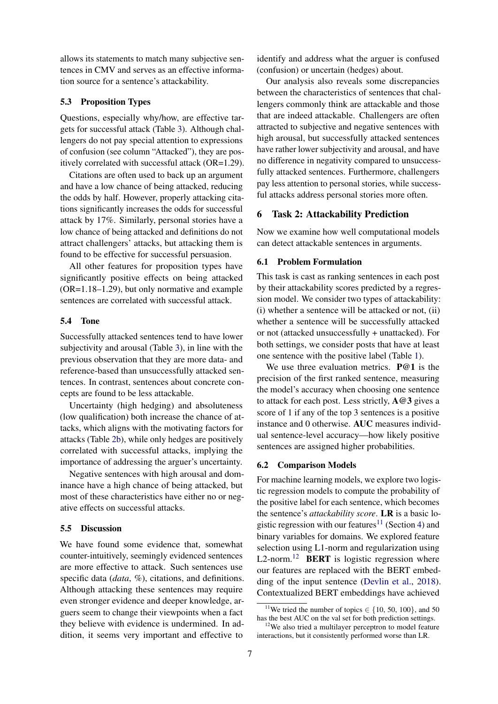allows its statements to match many subjective sentences in CMV and serves as an effective information source for a sentence's attackability.

### 5.3 Proposition Types

Questions, especially why/how, are effective targets for successful attack (Table [3\)](#page-5-2). Although challengers do not pay special attention to expressions of confusion (see column "Attacked"), they are positively correlated with successful attack (OR=1.29).

Citations are often used to back up an argument and have a low chance of being attacked, reducing the odds by half. However, properly attacking citations significantly increases the odds for successful attack by 17%. Similarly, personal stories have a low chance of being attacked and definitions do not attract challengers' attacks, but attacking them is found to be effective for successful persuasion.

All other features for proposition types have significantly positive effects on being attacked (OR=1.18–1.29), but only normative and example sentences are correlated with successful attack.

#### 5.4 Tone

Successfully attacked sentences tend to have lower subjectivity and arousal (Table [3\)](#page-5-2), in line with the previous observation that they are more data- and reference-based than unsuccessfully attacked sentences. In contrast, sentences about concrete concepts are found to be less attackable.

Uncertainty (high hedging) and absoluteness (low qualification) both increase the chance of attacks, which aligns with the motivating factors for attacks (Table [2b\)](#page-3-1), while only hedges are positively correlated with successful attacks, implying the importance of addressing the arguer's uncertainty.

Negative sentences with high arousal and dominance have a high chance of being attacked, but most of these characteristics have either no or negative effects on successful attacks.

#### 5.5 Discussion

We have found some evidence that, somewhat counter-intuitively, seemingly evidenced sentences are more effective to attack. Such sentences use specific data (*data*, *%*), citations, and definitions. Although attacking these sentences may require even stronger evidence and deeper knowledge, arguers seem to change their viewpoints when a fact they believe with evidence is undermined. In addition, it seems very important and effective to

identify and address what the arguer is confused (confusion) or uncertain (hedges) about.

Our analysis also reveals some discrepancies between the characteristics of sentences that challengers commonly think are attackable and those that are indeed attackable. Challengers are often attracted to subjective and negative sentences with high arousal, but successfully attacked sentences have rather lower subjectivity and arousal, and have no difference in negativity compared to unsuccessfully attacked sentences. Furthermore, challengers pay less attention to personal stories, while successful attacks address personal stories more often.

# 6 Task 2: Attackability Prediction

Now we examine how well computational models can detect attackable sentences in arguments.

# 6.1 Problem Formulation

This task is cast as ranking sentences in each post by their attackability scores predicted by a regression model. We consider two types of attackability: (i) whether a sentence will be attacked or not, (ii) whether a sentence will be successfully attacked or not (attacked unsuccessfully + unattacked). For both settings, we consider posts that have at least one sentence with the positive label (Table [1\)](#page-3-0).

We use three evaluation metrics. **P@1** is the precision of the first ranked sentence, measuring the model's accuracy when choosing one sentence to attack for each post. Less strictly, A@3 gives a score of 1 if any of the top 3 sentences is a positive instance and 0 otherwise. AUC measures individual sentence-level accuracy—how likely positive sentences are assigned higher probabilities.

#### 6.2 Comparison Models

For machine learning models, we explore two logistic regression models to compute the probability of the positive label for each sentence, which becomes the sentence's *attackability score*. LR is a basic lo-gistic regression with our features<sup>[11](#page-6-0)</sup> (Section [4\)](#page-3-5) and binary variables for domains. We explored feature selection using L1-norm and regularization using  $L2$ -norm.<sup>[12](#page-6-1)</sup> **BERT** is logistic regression where our features are replaced with the BERT embedding of the input sentence [\(Devlin et al.,](#page-9-14) [2018\)](#page-9-14). Contextualized BERT embeddings have achieved

<span id="page-6-0"></span><sup>&</sup>lt;sup>11</sup>We tried the number of topics  $\in \{10, 50, 100\}$ , and 50 has the best AUC on the val set for both prediction settings.

<span id="page-6-1"></span><sup>&</sup>lt;sup>12</sup>We also tried a multilayer perceptron to model feature interactions, but it consistently performed worse than LR.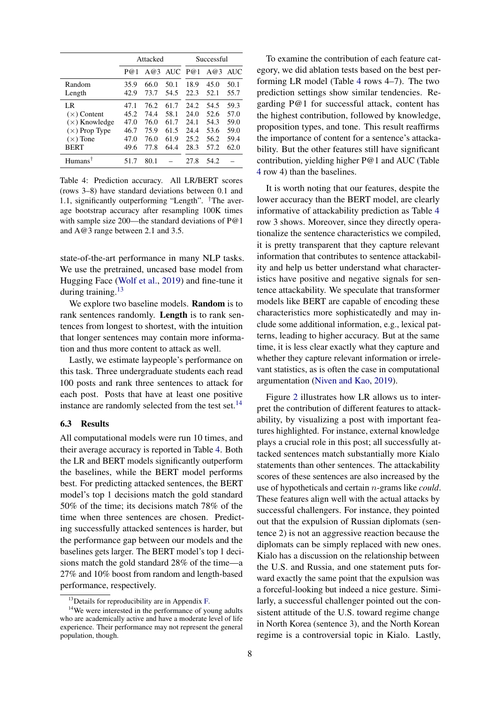<span id="page-7-2"></span>

|                      |      | Attacked |      | Successful |      |      |
|----------------------|------|----------|------|------------|------|------|
|                      | P@1  | A@3      | AUC. | P@1        | A@3  | AUC. |
| Random               | 35.9 | 66.0     | 50.1 | 18.9       | 45.0 | 50.1 |
| Length               | 42.9 | 73.7     | 54.5 | 22.3       | 52.1 | 55.7 |
| LR                   | 47.1 | 76.2     | 61.7 | 24.2       | 54.5 | 59.3 |
| $(x)$ Content        | 45.2 | 74.4     | 58.1 | 24.0       | 52.6 | 57.0 |
| $(\times)$ Knowledge | 47.0 | 76.0     | 61.7 | 24.1       | 54.3 | 59.0 |
| $(\times)$ Prop Type | 46.7 | 75.9     | 61.5 | 24.4       | 53.6 | 59.0 |
| $(x)$ Tone           | 47.0 | 76.0     | 61.9 | 25.2       | 56.2 | 59.4 |
| <b>BERT</b>          | 49.6 | 77.8     | 64.4 | 28.3       | 57.2 | 62.0 |
| Humans <sup>†</sup>  | 517  | 80.1     |      | 27.8       | 54.2 |      |

Table 4: Prediction accuracy. All LR/BERT scores (rows 3–8) have standard deviations between 0.1 and 1.1, significantly outperforming "Length". †The average bootstrap accuracy after resampling 100K times with sample size 200—the standard deviations of P@1 and A@3 range between 2.1 and 3.5.

state-of-the-art performance in many NLP tasks. We use the pretrained, uncased base model from Hugging Face [\(Wolf et al.,](#page-10-13) [2019\)](#page-10-13) and fine-tune it during training.<sup>[13](#page-7-0)</sup>

We explore two baseline models. **Random** is to rank sentences randomly. Length is to rank sentences from longest to shortest, with the intuition that longer sentences may contain more information and thus more content to attack as well.

Lastly, we estimate laypeople's performance on this task. Three undergraduate students each read 100 posts and rank three sentences to attack for each post. Posts that have at least one positive instance are randomly selected from the test set. $^{14}$  $^{14}$  $^{14}$ 

#### 6.3 Results

All computational models were run 10 times, and their average accuracy is reported in Table [4.](#page-7-2) Both the LR and BERT models significantly outperform the baselines, while the BERT model performs best. For predicting attacked sentences, the BERT model's top 1 decisions match the gold standard 50% of the time; its decisions match 78% of the time when three sentences are chosen. Predicting successfully attacked sentences is harder, but the performance gap between our models and the baselines gets larger. The BERT model's top 1 decisions match the gold standard 28% of the time—a 27% and 10% boost from random and length-based performance, respectively.

To examine the contribution of each feature category, we did ablation tests based on the best performing LR model (Table [4](#page-7-2) rows 4–7). The two prediction settings show similar tendencies. Regarding P@1 for successful attack, content has the highest contribution, followed by knowledge, proposition types, and tone. This result reaffirms the importance of content for a sentence's attackability. But the other features still have significant contribution, yielding higher P@1 and AUC (Table [4](#page-7-2) row 4) than the baselines.

It is worth noting that our features, despite the lower accuracy than the BERT model, are clearly informative of attackability prediction as Table [4](#page-7-2) row 3 shows. Moreover, since they directly operationalize the sentence characteristics we compiled, it is pretty transparent that they capture relevant information that contributes to sentence attackability and help us better understand what characteristics have positive and negative signals for sentence attackability. We speculate that transformer models like BERT are capable of encoding these characteristics more sophisticatedly and may include some additional information, e.g., lexical patterns, leading to higher accuracy. But at the same time, it is less clear exactly what they capture and whether they capture relevant information or irrelevant statistics, as is often the case in computational argumentation [\(Niven and Kao,](#page-9-15) [2019\)](#page-9-15).

Figure [2](#page-8-2) illustrates how LR allows us to interpret the contribution of different features to attackability, by visualizing a post with important features highlighted. For instance, external knowledge plays a crucial role in this post; all successfully attacked sentences match substantially more Kialo statements than other sentences. The attackability scores of these sentences are also increased by the use of hypotheticals and certain n-grams like *could*. These features align well with the actual attacks by successful challengers. For instance, they pointed out that the expulsion of Russian diplomats (sentence 2) is not an aggressive reaction because the diplomats can be simply replaced with new ones. Kialo has a discussion on the relationship between the U.S. and Russia, and one statement puts forward exactly the same point that the expulsion was a forceful-looking but indeed a nice gesture. Similarly, a successful challenger pointed out the consistent attitude of the U.S. toward regime change in North Korea (sentence 3), and the North Korean regime is a controversial topic in Kialo. Lastly,

<span id="page-7-1"></span><span id="page-7-0"></span> $13$  Details for reproducibility are in Appendix [F.](#page-18-0)

<sup>&</sup>lt;sup>14</sup>We were interested in the performance of young adults who are academically active and have a moderate level of life experience. Their performance may not represent the general population, though.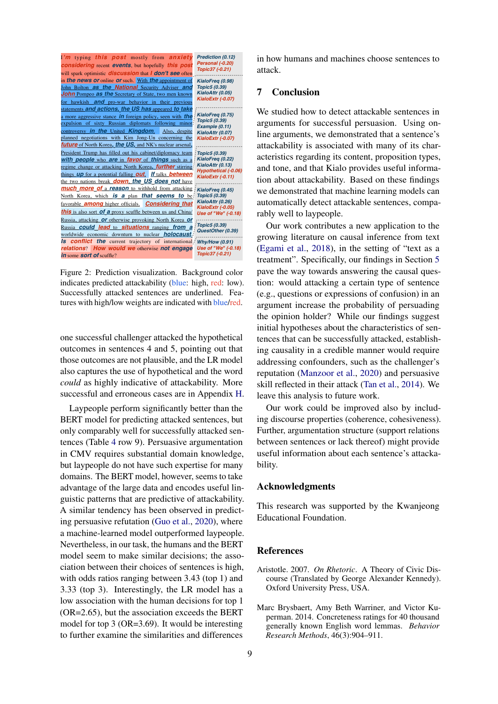<span id="page-8-2"></span>

tures with high/low weights are indicated with blue/red. Figure 2: Prediction visualization. Background color indicates predicted attackability (blue: high, red: low). Successfully attacked sentences are underlined. Fea-

one successful challenger attacked the hypothetical outcomes in sentences 4 and 5, pointing out that ing causality in a cr those *future* of North Korea*, the US,* and NK's nuclear arsenal*, KialoExtr (-0.07)*  $\frac{1}{2}$ could as highly indicative of attackability. More skill reflected in the successful and erroneous cases are in Appendix [H.](#page-20-0) leave this analysis to those outcomes are not plausible, and the LR model addressing confoun *Topic5 (0.39)* also captures the use of hypothetical and the word

*reason* to withhold from attacking North Korea, which *is a* plan *that seems to* be favorable *among* higher officials. BERT model for predicting attacked sentences, but between us and China/Russia, attacking *or* otherwise provoking North Korea *or* Russia *could lead* to *situations*  $r_{\text{ance}}$  (Table 4  $\alpha$ *holocaust*. *Is conflict the* current trajectory of in CMV requires substantial domain knowledge, Laypeople perform significantly better than the *Our work could Use of "We" (-0.18)* only comparably well for successfully attacked sen-tences (Table [4](#page-7-2) row 9). Persuasive argumentation *So let's* say *I'm* good *friends with* Amanda and Bailey. *I* Nevertheless in only take a *romantic interest in* Bailey because she's model seem to make similar decisions; the asso-<br>**Neteriories** that *I'm not really* into her body *structure*. *Another* ciation between their choices of sentences is high, Aristotle. 2007. On R with odds ratios ranging between 3.43 (top 1) and *physical appearance*. *You know absolutely nothing* 3.33 (top 3). Interestingly, the LR model has a Oxford University I *with them just* from *their* looks. *I feel this* way *because* low association with the human decisions for top 1 *both* genders*) I* think *to* myself "wow we'd make *such* a good couplet to enter a couplet feel the desire to enter a so  $\mu$ *Topic15 (-0.18) I* realize *I* have *a* bias because *I grew up in a* big *city in* a machine-learned model outperformed laypeople. Nevertheless, in our task, the humans and the BERT **Deferences**  $(OR=2.65)$ , but the association exceeds the BERT most the asso<sub>n</sub> **References** ing persuasive refutation [\(Guo et al.,](#page-9-16) [2020\)](#page-9-16), where Educational but laypeople do not have such expertise for many domains. The BERT model, however, seems to take advantage of the large data and encodes useful linguistic patterns that are predictive of attackability. A similar tendency has been observed in predictmodel for top 3 (OR=3.69). It would be interesting to further examine the similarities and differences

in how humans and machines choose sentences to attack.

# 7 Conclusion

We studied how to detect attackable sentences in arguments for successful persuasion. Using online arguments, we demonstrated that a sentence's attackability is associated with many of its characteristics regarding its content, proposition types, and tone, and that Kialo provides useful information about attackability. Based on these findings we demonstrated that machine learning models can automatically detect attackable sentences, comparably well to laypeople.

*There is a least increase in expressions* of confusion) in an *elections elections are <i>aroument* increase *party* affiliations than *actual* views or *the character* of *the* individual the opinion holder? While our findings suggest *was backed* by *the Republican* Party *even* though *he was* initial hypotheses about the characteristics of sen-*Republical Lences that can be successfully attacked, establish*pointing out that ing causality in a credible manner would require and the LR model addressing confounders, such as the challenger's *focused and the word reputation [\(Manzoor et al.,](#page-9-18) [2020\)](#page-9-18) and persuasive* tackability. More skill reflected in their attack [\(Tan et al.,](#page-10-14) [2014\)](#page-10-14). We *that thata for a themarring in Appendix H.* leave this analysis to future work. argument increase the probability of persuading *I believe* that *socialism is an obvious* and humanitarian next *step for the U.S*. *It should be the* responsibility of vastly *successful* people to *provide a* tiny fraction of their income to provide services *for people who* were not *given* universal health *care*, social security*, education (affordable* collage*), a* livable minimum *wage (*\$15 per hour*), and not to get* screwed over by businesses more *interested* in capital then people. Businesses *don't give* their fair share back to *the* community *they* leach off of *(*wages or *taxes),* and it *should be the* responsibility of the speak about socialism *they* quote *nations like the* U.S.S.R. gh, red: low). tion: would attacking a certain type of sentence Our work contributes a new application to the growing literature on causal inference from text [\(Egami et al.,](#page-9-17) [2018\)](#page-9-17), in the setting of "text as a treatment". Specifically, our findings in Section [5](#page-5-3) pave the way towards answering the causal ques-

force us *to think in* terms *of black and white, and* this *is* ked sentences, but ing discourse properties (coherence, cohesiveness). *e*<sub>tu</sub>lly attacked sen. Further aroumentation *Arricansignalistic Brefranchise Structure (support relations argumentation structure (support relations ive* argumentation between sentences or lack thereof) might provide *b needs topical completes completes topics completes topics completes topics completes topics dtacka-*Our work could be improved also by includ*revolution instead of a political one.* Socialism *is* an current governing body. I *believe that many European are a* perfect example of how socialism can be beneficial *to people*. B.T.W. *this is* my *first post,* I *can't wait* to have reasonable debates with *you all!* bility.

#### Acknowledgments

This research was supported by the Kwanjeong Educational Foundation.

- <span id="page-8-0"></span>*readors* is high, Aristotle. 2007. *On Rhetoric*. A Theory of Civic Dis-3 (top 1) and course (Translated by George Alexander Kennedy). *society* has a *Dxford* University Press, USA. Oxford University Press, USA.
- <span id="page-8-1"></span>ons for top *i*<br>de the **PEPT** Marc Brysbaert, Amy Beth Warriner, and Victor Kuas the BERI perman. 2014. Concreteness ratings for 40 thousand be interesting *generally known English word lemmas. Behavior d* differences *Research Methods*, *KialoExtr (-0.12) Use of "We" (-0.19) Research Methods*, 46(3):904–911.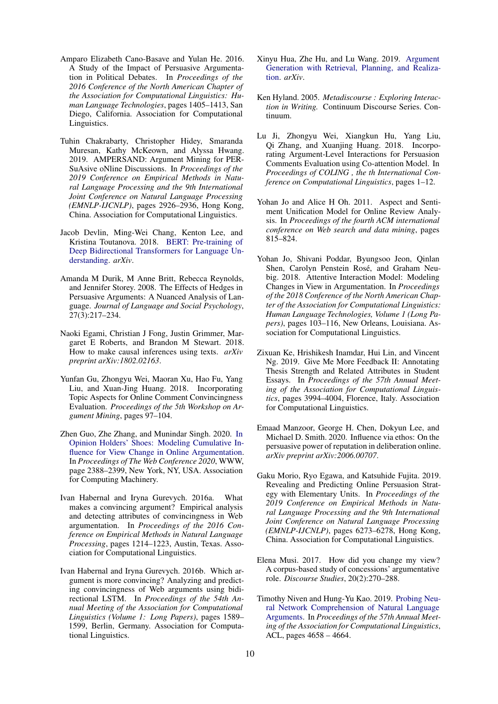- <span id="page-9-5"></span>Amparo Elizabeth Cano-Basave and Yulan He. 2016. A Study of the Impact of Persuasive Argumentation in Political Debates. In *Proceedings of the 2016 Conference of the North American Chapter of the Association for Computational Linguistics: Human Language Technologies*, pages 1405–1413, San Diego, California. Association for Computational Linguistics.
- <span id="page-9-9"></span>Tuhin Chakrabarty, Christopher Hidey, Smaranda Muresan, Kathy McKeown, and Alyssa Hwang. 2019. AMPERSAND: Argument Mining for PER-SuAsive oNline Discussions. In *Proceedings of the 2019 Conference on Empirical Methods in Natural Language Processing and the 9th International Joint Conference on Natural Language Processing (EMNLP-IJCNLP)*, pages 2926–2936, Hong Kong, China. Association for Computational Linguistics.
- <span id="page-9-14"></span>Jacob Devlin, Ming-Wei Chang, Kenton Lee, and Kristina Toutanova. 2018. [BERT: Pre-training of](http://arxiv.org/abs/1810.04805v1) [Deep Bidirectional Transformers for Language Un](http://arxiv.org/abs/1810.04805v1)[derstanding.](http://arxiv.org/abs/1810.04805v1) *arXiv*.
- <span id="page-9-13"></span>Amanda M Durik, M Anne Britt, Rebecca Reynolds, and Jennifer Storey. 2008. The Effects of Hedges in Persuasive Arguments: A Nuanced Analysis of Language. *Journal of Language and Social Psychology*, 27(3):217–234.
- <span id="page-9-17"></span>Naoki Egami, Christian J Fong, Justin Grimmer, Margaret E Roberts, and Brandon M Stewart. 2018. How to make causal inferences using texts. *arXiv preprint arXiv:1802.02163*.
- <span id="page-9-3"></span>Yunfan Gu, Zhongyu Wei, Maoran Xu, Hao Fu, Yang Liu, and Xuan-Jing Huang. 2018. Incorporating Topic Aspects for Online Comment Convincingness Evaluation. *Proceedings of the 5th Workshop on Argument Mining*, pages 97–104.
- <span id="page-9-16"></span>Zhen Guo, Zhe Zhang, and Munindar Singh. 2020. [In](https://doi.org/10.1145/3366423.3380302) [Opinion Holders' Shoes: Modeling Cumulative In](https://doi.org/10.1145/3366423.3380302)[fluence for View Change in Online Argumentation.](https://doi.org/10.1145/3366423.3380302) In *Proceedings of The Web Conference 2020*, WWW, page 2388–2399, New York, NY, USA. Association for Computing Machinery.
- <span id="page-9-0"></span>Ivan Habernal and Iryna Gurevych. 2016a. What makes a convincing argument? Empirical analysis and detecting attributes of convincingness in Web argumentation. In *Proceedings of the 2016 Conference on Empirical Methods in Natural Language Processing*, pages 1214–1223, Austin, Texas. Association for Computational Linguistics.
- <span id="page-9-4"></span>Ivan Habernal and Iryna Gurevych. 2016b. Which argument is more convincing? Analyzing and predicting convincingness of Web arguments using bidirectional LSTM. In *Proceedings of the 54th Annual Meeting of the Association for Computational Linguistics (Volume 1: Long Papers)*, pages 1589– 1599, Berlin, Germany. Association for Computational Linguistics.
- <span id="page-9-1"></span>Xinyu Hua, Zhe Hu, and Lu Wang. 2019. [Argument](http://arxiv.org/abs/1906.03717v1) [Generation with Retrieval, Planning, and Realiza](http://arxiv.org/abs/1906.03717v1)[tion.](http://arxiv.org/abs/1906.03717v1) *arXiv*.
- <span id="page-9-12"></span>Ken Hyland. 2005. *Metadiscourse : Exploring Interaction in Writing.* Continuum Discourse Series. Continuum.
- <span id="page-9-8"></span>Lu Ji, Zhongyu Wei, Xiangkun Hu, Yang Liu, Qi Zhang, and Xuanjing Huang. 2018. Incorporating Argument-Level Interactions for Persuasion Comments Evaluation using Co-attention Model. In *Proceedings of COLING , the th International Conference on Computational Linguistics*, pages 1–12.
- <span id="page-9-11"></span>Yohan Jo and Alice H Oh. 2011. Aspect and Sentiment Unification Model for Online Review Analysis. In *Proceedings of the fourth ACM international conference on Web search and data mining*, pages 815–824.
- <span id="page-9-7"></span>Yohan Jo, Shivani Poddar, Byungsoo Jeon, Qinlan Shen, Carolyn Penstein Rosé, and Graham Neubig. 2018. Attentive Interaction Model: Modeling Changes in View in Argumentation. In *Proceedings of the 2018 Conference of the North American Chapter of the Association for Computational Linguistics: Human Language Technologies, Volume 1 (Long Papers)*, pages 103–116, New Orleans, Louisiana. Association for Computational Linguistics.
- <span id="page-9-2"></span>Zixuan Ke, Hrishikesh Inamdar, Hui Lin, and Vincent Ng. 2019. Give Me More Feedback II: Annotating Thesis Strength and Related Attributes in Student Essays. In *Proceedings of the 57th Annual Meeting of the Association for Computational Linguistics*, pages 3994–4004, Florence, Italy. Association for Computational Linguistics.
- <span id="page-9-18"></span>Emaad Manzoor, George H. Chen, Dokyun Lee, and Michael D. Smith. 2020. Influence via ethos: On the persuasive power of reputation in deliberation online. *arXiv preprint arXiv:2006.00707*.
- <span id="page-9-6"></span>Gaku Morio, Ryo Egawa, and Katsuhide Fujita. 2019. Revealing and Predicting Online Persuasion Strategy with Elementary Units. In *Proceedings of the 2019 Conference on Empirical Methods in Natural Language Processing and the 9th International Joint Conference on Natural Language Processing (EMNLP-IJCNLP)*, pages 6273–6278, Hong Kong, China. Association for Computational Linguistics.
- <span id="page-9-10"></span>Elena Musi. 2017. How did you change my view? A corpus-based study of concessions' argumentative role. *Discourse Studies*, 20(2):270–288.
- <span id="page-9-15"></span>Timothy Niven and Hung-Yu Kao. 2019. [Probing Neu](https://doi.org/10.18653/v1/p19-1459)[ral Network Comprehension of Natural Language](https://doi.org/10.18653/v1/p19-1459) [Arguments.](https://doi.org/10.18653/v1/p19-1459) In *Proceedings of the 57th Annual Meeting of the Association for Computational Linguistics*, ACL, pages 4658 – 4664.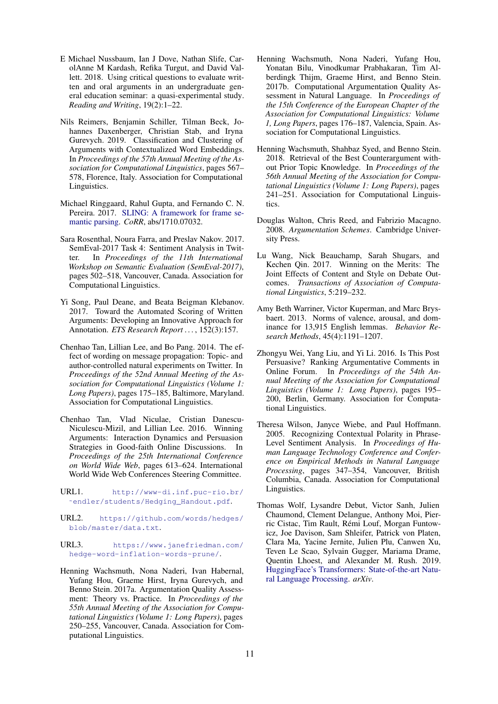- <span id="page-10-5"></span>E Michael Nussbaum, Ian J Dove, Nathan Slife, CarolAnne M Kardash, Refika Turgut, and David Vallett. 2018. Using critical questions to evaluate written and oral arguments in an undergraduate general education seminar: a quasi-experimental study. *Reading and Writing*, 19(2):1–22.
- <span id="page-10-15"></span>Nils Reimers, Benjamin Schiller, Tilman Beck, Johannes Daxenberger, Christian Stab, and Iryna Gurevych. 2019. Classification and Clustering of Arguments with Contextualized Word Embeddings. In *Proceedings of the 57th Annual Meeting of the Association for Computational Linguistics*, pages 567– 578, Florence, Italy. Association for Computational Linguistics.
- <span id="page-10-9"></span>Michael Ringgaard, Rahul Gupta, and Fernando C. N. Pereira. 2017. [SLING: A framework for frame se](http://arxiv.org/abs/1710.07032)[mantic parsing.](http://arxiv.org/abs/1710.07032) *CoRR*, abs/1710.07032.
- <span id="page-10-11"></span>Sara Rosenthal, Noura Farra, and Preslav Nakov. 2017. SemEval-2017 Task 4: Sentiment Analysis in Twitter. In *Proceedings of the 11th International Workshop on Semantic Evaluation (SemEval-2017)*, pages 502–518, Vancouver, Canada. Association for Computational Linguistics.
- <span id="page-10-4"></span>Yi Song, Paul Deane, and Beata Beigman Klebanov. 2017. Toward the Automated Scoring of Written Arguments: Developing an Innovative Approach for Annotation. *ETS Research Report . . .* , 152(3):157.
- <span id="page-10-14"></span>Chenhao Tan, Lillian Lee, and Bo Pang. 2014. The effect of wording on message propagation: Topic- and author-controlled natural experiments on Twitter. In *Proceedings of the 52nd Annual Meeting of the Association for Computational Linguistics (Volume 1: Long Papers)*, pages 175–185, Baltimore, Maryland. Association for Computational Linguistics.
- <span id="page-10-6"></span>Chenhao Tan, Vlad Niculae, Cristian Danescu-Niculescu-Mizil, and Lillian Lee. 2016. Winning Arguments: Interaction Dynamics and Persuasion Strategies in Good-faith Online Discussions. In *Proceedings of the 25th International Conference on World Wide Web*, pages 613–624. International World Wide Web Conferences Steering Committee.
- <span id="page-10-16"></span>URL1. [http://www-di.inf.puc-rio.br/](http://www-di.inf.puc-rio.br/~endler/students/Hedging_Handout.pdf) [˜endler/students/Hedging\\_Handout.pdf](http://www-di.inf.puc-rio.br/~endler/students/Hedging_Handout.pdf).
- <span id="page-10-17"></span>URL2. [https://github.com/words/hedges/](https://github.com/words/hedges/blob/master/data.txt) [blob/master/data.txt](https://github.com/words/hedges/blob/master/data.txt).
- <span id="page-10-18"></span>URL3. [https://www.janefriedman.com/](https://www.janefriedman.com/hedge-word-inflation-words-prune/) [hedge-word-inflation-words-prune/](https://www.janefriedman.com/hedge-word-inflation-words-prune/).
- <span id="page-10-0"></span>Henning Wachsmuth, Nona Naderi, Ivan Habernal, Yufang Hou, Graeme Hirst, Iryna Gurevych, and Benno Stein. 2017a. Argumentation Quality Assessment: Theory vs. Practice. In *Proceedings of the 55th Annual Meeting of the Association for Computational Linguistics (Volume 1: Long Papers)*, pages 250–255, Vancouver, Canada. Association for Computational Linguistics.
- <span id="page-10-2"></span>Henning Wachsmuth, Nona Naderi, Yufang Hou, Yonatan Bilu, Vinodkumar Prabhakaran, Tim Alberdingk Thijm, Graeme Hirst, and Benno Stein. 2017b. Computational Argumentation Quality Assessment in Natural Language. In *Proceedings of the 15th Conference of the European Chapter of the Association for Computational Linguistics: Volume 1, Long Papers*, pages 176–187, Valencia, Spain. Association for Computational Linguistics.
- <span id="page-10-1"></span>Henning Wachsmuth, Shahbaz Syed, and Benno Stein. 2018. Retrieval of the Best Counterargument without Prior Topic Knowledge. In *Proceedings of the 56th Annual Meeting of the Association for Computational Linguistics (Volume 1: Long Papers)*, pages 241–251. Association for Computational Linguistics.
- <span id="page-10-3"></span>Douglas Walton, Chris Reed, and Fabrizio Macagno. 2008. *Argumentation Schemes*. Cambridge University Press.
- <span id="page-10-8"></span>Lu Wang, Nick Beauchamp, Sarah Shugars, and Kechen Qin. 2017. Winning on the Merits: The Joint Effects of Content and Style on Debate Outcomes. *Transactions of Association of Computational Linguistics*, 5:219–232.
- <span id="page-10-12"></span>Amy Beth Warriner, Victor Kuperman, and Marc Brysbaert. 2013. Norms of valence, arousal, and dominance for 13,915 English lemmas. *Behavior Research Methods*, 45(4):1191–1207.
- <span id="page-10-7"></span>Zhongyu Wei, Yang Liu, and Yi Li. 2016. Is This Post Persuasive? Ranking Argumentative Comments in Online Forum. In *Proceedings of the 54th Annual Meeting of the Association for Computational Linguistics (Volume 1: Long Papers)*, pages 195– 200, Berlin, Germany. Association for Computational Linguistics.
- <span id="page-10-10"></span>Theresa Wilson, Janyce Wiebe, and Paul Hoffmann. 2005. Recognizing Contextual Polarity in Phrase-Level Sentiment Analysis. In *Proceedings of Human Language Technology Conference and Conference on Empirical Methods in Natural Language Processing*, pages 347–354, Vancouver, British Columbia, Canada. Association for Computational Linguistics.
- <span id="page-10-13"></span>Thomas Wolf, Lysandre Debut, Victor Sanh, Julien Chaumond, Clement Delangue, Anthony Moi, Pierric Cistac, Tim Rault, Remi Louf, Morgan Funtow- ´ icz, Joe Davison, Sam Shleifer, Patrick von Platen, Clara Ma, Yacine Jernite, Julien Plu, Canwen Xu, Teven Le Scao, Sylvain Gugger, Mariama Drame, Quentin Lhoest, and Alexander M. Rush. 2019. [HuggingFace's Transformers: State-of-the-art Natu](http://arxiv.org/abs/1910.03771)[ral Language Processing.](http://arxiv.org/abs/1910.03771) *arXiv*.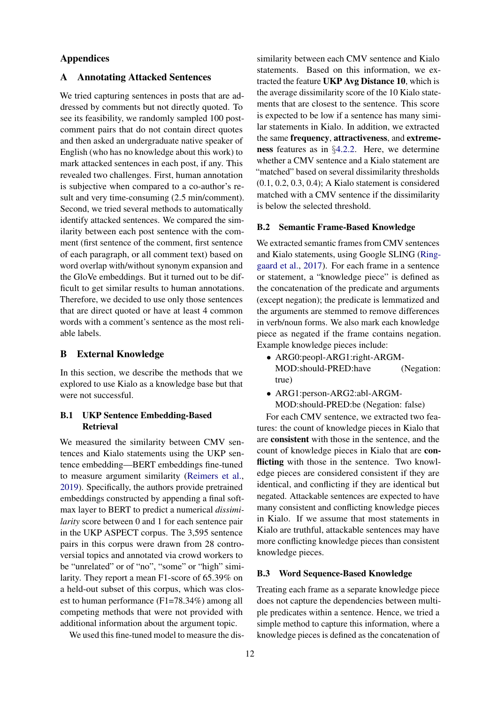# Appendices

# <span id="page-11-0"></span>A Annotating Attacked Sentences

We tried capturing sentences in posts that are addressed by comments but not directly quoted. To see its feasibility, we randomly sampled 100 postcomment pairs that do not contain direct quotes and then asked an undergraduate native speaker of English (who has no knowledge about this work) to mark attacked sentences in each post, if any. This revealed two challenges. First, human annotation is subjective when compared to a co-author's result and very time-consuming (2.5 min/comment). Second, we tried several methods to automatically identify attacked sentences. We compared the similarity between each post sentence with the comment (first sentence of the comment, first sentence of each paragraph, or all comment text) based on word overlap with/without synonym expansion and the GloVe embeddings. But it turned out to be difficult to get similar results to human annotations. Therefore, we decided to use only those sentences that are direct quoted or have at least 4 common words with a comment's sentence as the most reliable labels.

# <span id="page-11-1"></span>B External Knowledge

In this section, we describe the methods that we explored to use Kialo as a knowledge base but that were not successful.

# B.1 UKP Sentence Embedding-Based Retrieval

We measured the similarity between CMV sentences and Kialo statements using the UKP sentence embedding—BERT embeddings fine-tuned to measure argument similarity [\(Reimers et al.,](#page-10-15) [2019\)](#page-10-15). Specifically, the authors provide pretrained embeddings constructed by appending a final softmax layer to BERT to predict a numerical *dissimilarity* score between 0 and 1 for each sentence pair in the UKP ASPECT corpus. The 3,595 sentence pairs in this corpus were drawn from 28 controversial topics and annotated via crowd workers to be "unrelated" or of "no", "some" or "high" similarity. They report a mean F1-score of 65.39% on a held-out subset of this corpus, which was closest to human performance (F1=78.34%) among all competing methods that were not provided with additional information about the argument topic.

We used this fine-tuned model to measure the dis-

similarity between each CMV sentence and Kialo statements. Based on this information, we extracted the feature UKP Avg Distance 10, which is the average dissimilarity score of the 10 Kialo statements that are closest to the sentence. This score is expected to be low if a sentence has many similar statements in Kialo. In addition, we extracted the same frequency, attractiveness, and extremeness features as in §[4.2.2.](#page-3-6) Here, we determine whether a CMV sentence and a Kialo statement are "matched" based on several dissimilarity thresholds (0.1, 0.2, 0.3, 0.4); A Kialo statement is considered matched with a CMV sentence if the dissimilarity is below the selected threshold.

#### B.2 Semantic Frame-Based Knowledge

We extracted semantic frames from CMV sentences and Kialo statements, using Google SLING [\(Ring](#page-10-9)[gaard et al.,](#page-10-9) [2017\)](#page-10-9). For each frame in a sentence or statement, a "knowledge piece" is defined as the concatenation of the predicate and arguments (except negation); the predicate is lemmatized and the arguments are stemmed to remove differences in verb/noun forms. We also mark each knowledge piece as negated if the frame contains negation. Example knowledge pieces include:

- ARG0:peopl-ARG1:right-ARGM-MOD:should-PRED:have (Negation: true)
- ARG1:person-ARG2:abl-ARGM-MOD:should-PRED:be (Negation: false)

For each CMV sentence, we extracted two features: the count of knowledge pieces in Kialo that are consistent with those in the sentence, and the count of knowledge pieces in Kialo that are conflicting with those in the sentence. Two knowledge pieces are considered consistent if they are identical, and conflicting if they are identical but negated. Attackable sentences are expected to have many consistent and conflicting knowledge pieces in Kialo. If we assume that most statements in Kialo are truthful, attackable sentences may have more conflicting knowledge pieces than consistent knowledge pieces.

#### B.3 Word Sequence-Based Knowledge

Treating each frame as a separate knowledge piece does not capture the dependencies between multiple predicates within a sentence. Hence, we tried a simple method to capture this information, where a knowledge pieces is defined as the concatenation of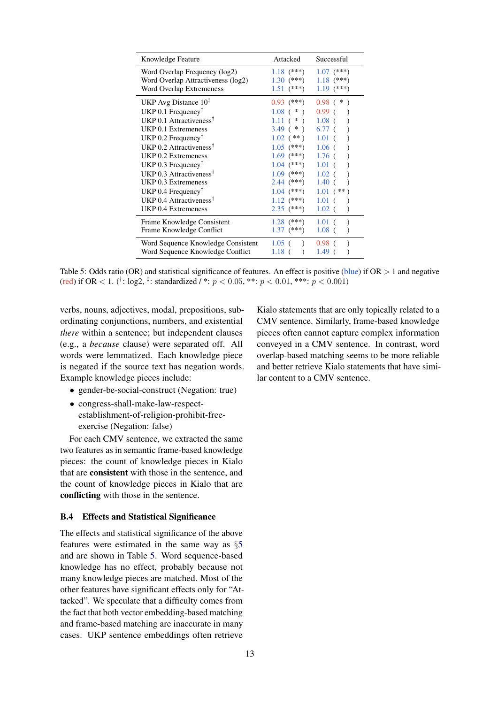<span id="page-12-0"></span>

| Knowledge Feature                                                                               | Attacked                                       | Successful                                   |
|-------------------------------------------------------------------------------------------------|------------------------------------------------|----------------------------------------------|
| Word Overlap Frequency (log2)<br>Word Overlap Attractiveness (log2)<br>Word Overlap Extremeness | $1.18$ (***)<br>$1.30^{(***)}$<br>$1.51$ (***) | $1.07$ (***)<br>$1.18$ (***)<br>$1.19$ (***) |
| UKP Avg Distance $101$                                                                          | $0.93$ (***)                                   | $0.98$ ( $*$                                 |
| UKP 0.1 Frequency <sup>†</sup>                                                                  | $1.08$ ( $*$ )                                 | 0.99 <sub>0</sub>                            |
| UKP 0.1 Attractiveness <sup>†</sup>                                                             | $1.11$ ( $*$ )                                 | $1.08$ (                                     |
| UKP 0.1 Extremeness                                                                             | $3.49$ ( $*$ )                                 | 6.77 <sup>0</sup>                            |
| UKP 0.2 Frequency <sup><math>\uparrow</math></sup>                                              | $1.02$ (**)                                    | $1.01\;C$                                    |
| UKP 0.2 Attractiveness <sup>†</sup>                                                             | $1.05$ (***)                                   | $1.06$ (                                     |
| UKP 0.2 Extremeness                                                                             | $1.69$ (***)                                   | $1.76$ (                                     |
| UKP 0.3 Frequency <sup><math>\uparrow</math></sup>                                              | $1.04$ (***)                                   | $1.01\;$ (                                   |
| UKP 0.3 Attractiveness <sup>†</sup>                                                             | $1.09$ (***)                                   | $1.02$ (                                     |
| UKP 0.3 Extremeness                                                                             | 2.44 $(***)$                                   | $1.40$ (                                     |
| UKP 0.4 Frequency <sup><math>\uparrow</math></sup>                                              | $1.04$ (***)                                   | $1.01$ (**)                                  |
| UKP 0.4 Attractiveness <sup>†</sup>                                                             | $1.12$ (***)                                   | $1.01$ (                                     |
| <b>UKP 0.4 Extremeness</b>                                                                      | $2.35$ (***)                                   | $1.02$ (                                     |
| Frame Knowledge Consistent                                                                      | $1.28$ (***)                                   | $1.01$ (                                     |
| Frame Knowledge Conflict                                                                        | $1.37$ (***)                                   | $1.08$ (                                     |
| Word Sequence Knowledge Consistent                                                              | $1.05$ ( )                                     | $0.98 \;$ (                                  |
| Word Sequence Knowledge Conflict                                                                | $1.18$ (                                       | 1.49 (                                       |

Table 5: Odds ratio (OR) and statistical significance of features. An effect is positive (blue) if  $OR > 1$  and negative (red) if OR < 1. (<sup>†</sup>: log2, <sup>‡</sup>: standardized / \*:  $p < 0.05$ , \*\*:  $p < 0.01$ , \*\*\*:  $p < 0.001$ )

verbs, nouns, adjectives, modal, prepositions, subordinating conjunctions, numbers, and existential *there* within a sentence; but independent clauses (e.g., a *because* clause) were separated off. All words were lemmatized. Each knowledge piece is negated if the source text has negation words. Example knowledge pieces include:

- gender-be-social-construct (Negation: true)
- congress-shall-make-law-respectestablishment-of-religion-prohibit-freeexercise (Negation: false)

For each CMV sentence, we extracted the same two features as in semantic frame-based knowledge pieces: the count of knowledge pieces in Kialo that are consistent with those in the sentence, and the count of knowledge pieces in Kialo that are conflicting with those in the sentence.

### B.4 Effects and Statistical Significance

The effects and statistical significance of the above features were estimated in the same way as §[5](#page-5-3) and are shown in Table [5.](#page-12-0) Word sequence-based knowledge has no effect, probably because not many knowledge pieces are matched. Most of the other features have significant effects only for "Attacked". We speculate that a difficulty comes from the fact that both vector embedding-based matching and frame-based matching are inaccurate in many cases. UKP sentence embeddings often retrieve

Kialo statements that are only topically related to a CMV sentence. Similarly, frame-based knowledge pieces often cannot capture complex information conveyed in a CMV sentence. In contrast, word overlap-based matching seems to be more reliable and better retrieve Kialo statements that have similar content to a CMV sentence.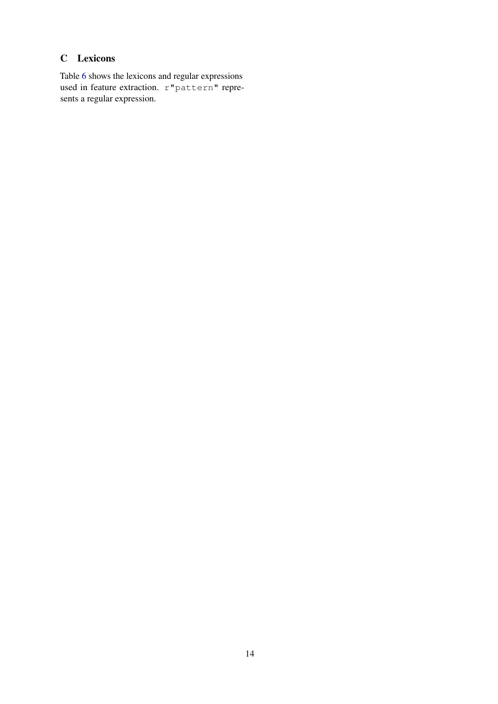# <span id="page-13-0"></span>C Lexicons

Table [6](#page-14-0) shows the lexicons and regular expressions used in feature extraction. r"pattern" represents a regular expression.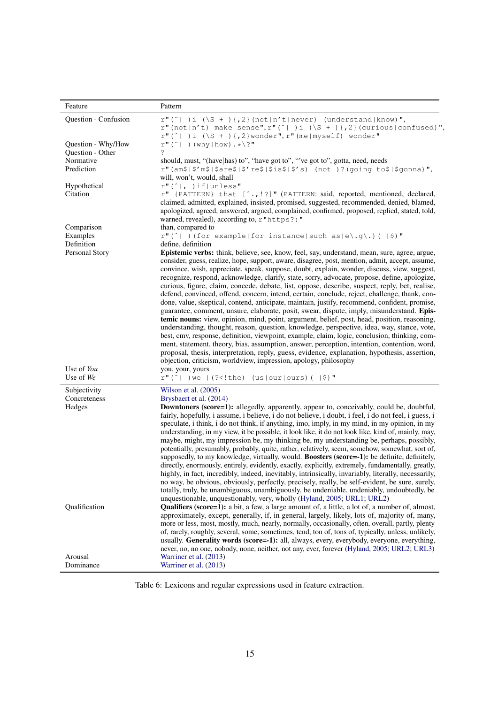<span id="page-14-0"></span>

| Feature                                                 | Pattern                                                                                                                                                                                                                                                                                                                                                                                                                                                                                                                                                                                                                                                                                                                                                                                                                                                                                                                                                                                                                                                                                                                                                                                                                                                                                                                                                                                                                                                             |
|---------------------------------------------------------|---------------------------------------------------------------------------------------------------------------------------------------------------------------------------------------------------------------------------------------------------------------------------------------------------------------------------------------------------------------------------------------------------------------------------------------------------------------------------------------------------------------------------------------------------------------------------------------------------------------------------------------------------------------------------------------------------------------------------------------------------------------------------------------------------------------------------------------------------------------------------------------------------------------------------------------------------------------------------------------------------------------------------------------------------------------------------------------------------------------------------------------------------------------------------------------------------------------------------------------------------------------------------------------------------------------------------------------------------------------------------------------------------------------------------------------------------------------------|
| Question - Confusion                                    | $r''('  )i (\\S + ){1,2} (not n't never) (understand known)"$<br>r" (not   n't) make sense", r" (^   )i (\S + ) {, 2} (curious   confused)",<br>$r''('  )i (\\S + ){1,2}$ wonder", $r''$ (me   myself) wonder"                                                                                                                                                                                                                                                                                                                                                                                                                                                                                                                                                                                                                                                                                                                                                                                                                                                                                                                                                                                                                                                                                                                                                                                                                                                      |
| Question - Why/How<br>Question - Other                  | $r''(' ) (why   how) . * \?''$                                                                                                                                                                                                                                                                                                                                                                                                                                                                                                                                                                                                                                                                                                                                                                                                                                                                                                                                                                                                                                                                                                                                                                                                                                                                                                                                                                                                                                      |
| Normative                                               | should, must, "(have has) to", "have got to", "'ve got to", gotta, need, needs                                                                                                                                                                                                                                                                                                                                                                                                                                                                                                                                                                                                                                                                                                                                                                                                                                                                                                                                                                                                                                                                                                                                                                                                                                                                                                                                                                                      |
| Prediction                                              | $r''(am$ \$'m$ \$are$\ $'re$\ $'re$\ $is$\ $'s)$ (not )? (going to\$\ \$gonna),<br>will, won't, would, shall                                                                                                                                                                                                                                                                                                                                                                                                                                                                                                                                                                                                                                                                                                                                                                                                                                                                                                                                                                                                                                                                                                                                                                                                                                                                                                                                                        |
| Hypothetical<br>Citation                                | r''(' , )if unless"<br>r" {PATTERN} that [^., !?]" (PATTERN: said, reported, mentioned, declared,<br>claimed, admitted, explained, insisted, promised, suggested, recommended, denied, blamed,<br>apologized, agreed, answered, argued, complained, confirmed, proposed, replied, stated, told,<br>warned, revealed), according to, r"https?:"                                                                                                                                                                                                                                                                                                                                                                                                                                                                                                                                                                                                                                                                                                                                                                                                                                                                                                                                                                                                                                                                                                                      |
| Comparison                                              | than, compared to                                                                                                                                                                                                                                                                                                                                                                                                                                                                                                                                                                                                                                                                                                                                                                                                                                                                                                                                                                                                                                                                                                                                                                                                                                                                                                                                                                                                                                                   |
| Examples                                                | $r''(' )$ (for example for instance such as e\.g\.) ( $ \hat{\theta}\rangle$ )"                                                                                                                                                                                                                                                                                                                                                                                                                                                                                                                                                                                                                                                                                                                                                                                                                                                                                                                                                                                                                                                                                                                                                                                                                                                                                                                                                                                     |
| Definition                                              | define, definition                                                                                                                                                                                                                                                                                                                                                                                                                                                                                                                                                                                                                                                                                                                                                                                                                                                                                                                                                                                                                                                                                                                                                                                                                                                                                                                                                                                                                                                  |
| Personal Story                                          | <b>Epistemic verbs:</b> think, believe, see, know, feel, say, understand, mean, sure, agree, argue,<br>consider, guess, realize, hope, support, aware, disagree, post, mention, admit, accept, assume,<br>convince, wish, appreciate, speak, suppose, doubt, explain, wonder, discuss, view, suggest,<br>recognize, respond, acknowledge, clarify, state, sorry, advocate, propose, define, apologize,<br>curious, figure, claim, concede, debate, list, oppose, describe, suspect, reply, bet, realise,<br>defend, convinced, offend, concern, intend, certain, conclude, reject, challenge, thank, con-<br>done, value, skeptical, contend, anticipate, maintain, justify, recommend, confident, promise,<br>guarantee, comment, unsure, elaborate, posit, swear, dispute, imply, misunderstand. Epis-<br>temic nouns: view, opinion, mind, point, argument, belief, post, head, position, reasoning,<br>understanding, thought, reason, question, knowledge, perspective, idea, way, stance, vote,<br>best, cmv, response, definition, viewpoint, example, claim, logic, conclusion, thinking, com-<br>ment, statement, theory, bias, assumption, answer, perception, intention, contention, word,<br>proposal, thesis, interpretation, reply, guess, evidence, explanation, hypothesis, assertion,<br>objection, criticism, worldview, impression, apology, philosophy                                                                                          |
| Use of You<br>Use of We                                 | you, your, yours<br>$r''(')$ we $ (?$ the) (us our ours) (<math  \\$)"                                                                                                                                                                                                                                                                                                                                                                                                                                                                                                                                                                                                                                                                                                                                                                                                                                                                                                                                                                                                                                                                                                                                                                                                                                                                                                                                                                                              |
|                                                         |                                                                                                                                                                                                                                                                                                                                                                                                                                                                                                                                                                                                                                                                                                                                                                                                                                                                                                                                                                                                                                                                                                                                                                                                                                                                                                                                                                                                                                                                     |
| Subjectivity<br>Concreteness<br>Hedges<br>Qualification | Wilson et al. (2005)<br>Brysbaert et al. (2014)<br><b>Downtoners (score=1):</b> allegedly, apparently, appear to, conceivably, could be, doubtful,<br>fairly, hopefully, i assume, i believe, i do not believe, i doubt, i feel, i do not feel, i guess, i<br>speculate, i think, i do not think, if anything, imo, imply, in my mind, in my opinion, in my<br>understanding, in my view, it be possible, it look like, it do not look like, kind of, mainly, may,<br>maybe, might, my impression be, my thinking be, my understanding be, perhaps, possibly,<br>potentially, presumably, probably, quite, rather, relatively, seem, somehow, somewhat, sort of,<br>supposedly, to my knowledge, virtually, would. Boosters (score=-1): be definite, definitely,<br>directly, enormously, entirely, evidently, exactly, explicitly, extremely, fundamentally, greatly,<br>highly, in fact, incredibly, indeed, inevitably, intrinsically, invariably, literally, necessarily,<br>no way, be obvious, obviously, perfectly, precisely, really, be self-evident, be sure, surely,<br>totally, truly, be unambiguous, unambiguously, be undeniable, undeniably, undoubtedly, be<br>unquestionable, unquestionably, very, wholly (Hyland, 2005; URL1; URL2)<br><b>Qualifiers (score=1):</b> a bit, a few, a large amount of, a little, a lot of, a number of, almost,<br>approximately, except, generally, if, in general, largely, likely, lots of, majority of, many, |
| Arousal<br>Dominance                                    | more or less, most, mostly, much, nearly, normally, occasionally, often, overall, partly, plenty<br>of, rarely, roughly, several, some, sometimes, tend, ton of, tons of, typically, unless, unlikely,<br>usually. Generality words (score=-1): all, always, every, everybody, everyone, everything,<br>never, no, no one, nobody, none, neither, not any, ever, forever (Hyland, 2005; URL2; URL3)<br>Warriner et al. (2013)<br>Warriner et al. (2013)                                                                                                                                                                                                                                                                                                                                                                                                                                                                                                                                                                                                                                                                                                                                                                                                                                                                                                                                                                                                             |

Table 6: Lexicons and regular expressions used in feature extraction.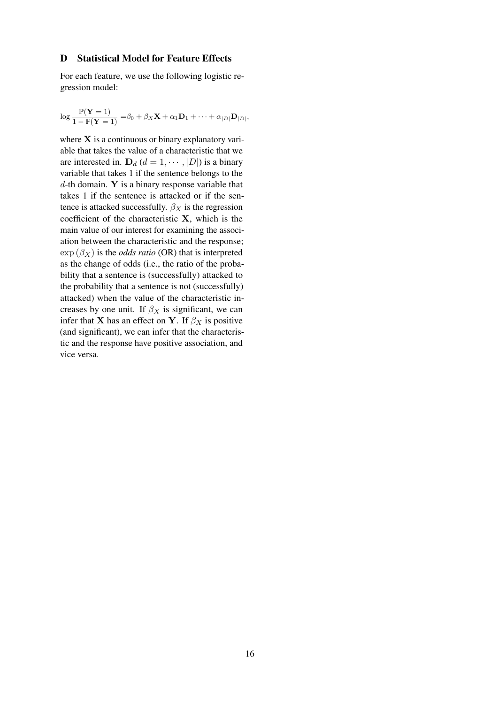#### <span id="page-15-0"></span>D Statistical Model for Feature Effects

For each feature, we use the following logistic regression model:

$$
\log \frac{\mathbb{P}(\mathbf{Y}=1)}{1-\mathbb{P}(\mathbf{Y}=1)} = \beta_0 + \beta_X \mathbf{X} + \alpha_1 \mathbf{D}_1 + \cdots + \alpha_{|D|} \mathbf{D}_{|D|},
$$

where  $X$  is a continuous or binary explanatory variable that takes the value of a characteristic that we are interested in.  $D_d$  ( $d = 1, \dots, |D|$ ) is a binary variable that takes 1 if the sentence belongs to the  $d$ -th domain. Y is a binary response variable that takes 1 if the sentence is attacked or if the sentence is attacked successfully.  $\beta_X$  is the regression coefficient of the characteristic X, which is the main value of our interest for examining the association between the characteristic and the response;  $\exp(\beta_X)$  is the *odds ratio* (OR) that is interpreted as the change of odds (i.e., the ratio of the probability that a sentence is (successfully) attacked to the probability that a sentence is not (successfully) attacked) when the value of the characteristic increases by one unit. If  $\beta_X$  is significant, we can infer that **X** has an effect on **Y**. If  $\beta_X$  is positive (and significant), we can infer that the characteristic and the response have positive association, and vice versa.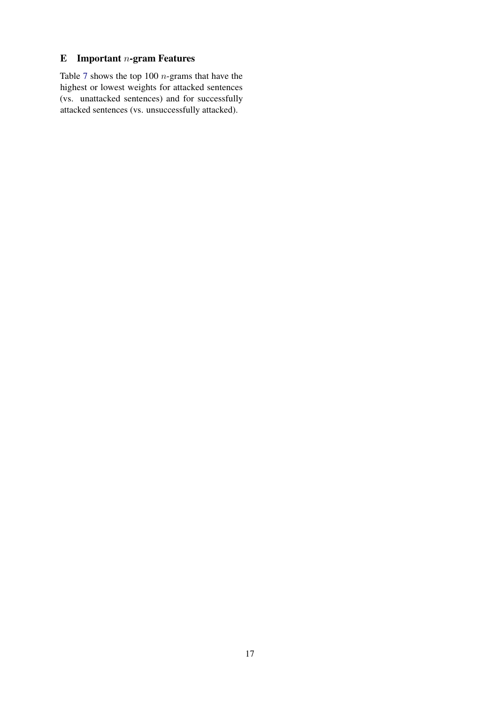# <span id="page-16-0"></span> $E$  Important *n*-gram Features

Table [7](#page-17-0) shows the top 100 n-grams that have the highest or lowest weights for attacked sentences (vs. unattacked sentences) and for successfully attacked sentences (vs. unsuccessfully attacked).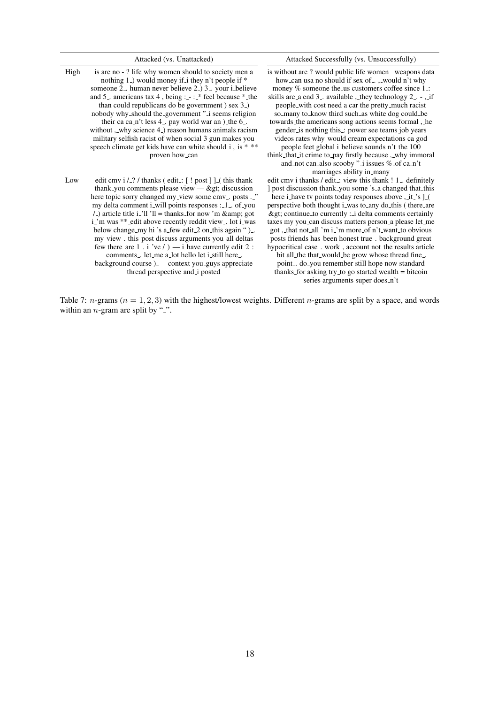<span id="page-17-0"></span>

|      | Attacked (vs. Unattacked)                                                                                                                                                                                                                                                                                                                                                                                                                                                                                                                                                                                                                                                                            | Attacked Successfully (vs. Unsuccessfully)                                                                                                                                                                                                                                                                                                                                                                                                                                                                                                                                                                                                                                                                                                                                                           |
|------|------------------------------------------------------------------------------------------------------------------------------------------------------------------------------------------------------------------------------------------------------------------------------------------------------------------------------------------------------------------------------------------------------------------------------------------------------------------------------------------------------------------------------------------------------------------------------------------------------------------------------------------------------------------------------------------------------|------------------------------------------------------------------------------------------------------------------------------------------------------------------------------------------------------------------------------------------------------------------------------------------------------------------------------------------------------------------------------------------------------------------------------------------------------------------------------------------------------------------------------------------------------------------------------------------------------------------------------------------------------------------------------------------------------------------------------------------------------------------------------------------------------|
| High | is are no - ? life why women should to society men a<br>nothing 1 <sub>-</sub> ) would money if i they n't people if *<br>someone 2 <sub>-</sub> human never believe 2 <sub>-</sub> ) 3 <sub>-</sub> your i_believe<br>and 5. americans tax 4, being : $\cdot$ : * feel because * the<br>than could republicans do be government) sex 3.<br>nobody why_should the_government "_i seems religion<br>their ca ca_n't less $4$ <sub>-</sub> pay world war an $)$ _the $6$ <sub>-</sub> .<br>without , why science 4 <sub>-</sub> ) reason humans animals racism<br>military selfish racist of when social 3 gun makes you<br>speech climate get kids have can white should i , is ***<br>proven how_can | is without are ? would public life women weapons data<br>how_can usa no should if sex of_, ,_would n't why<br>money $%$ someone the us customers coffee since 1 $\pm$ :<br>skills are a end $3$ . available, they technology $2$ . $-$ , if<br>people_with cost need a car the pretty_much racist<br>so_many to_know third such_as white dog could_be<br>towards the americans song actions seems formal, he<br>gender is nothing this :: power see teams job years<br>videos rates why_would cream expectations ca god<br>people feet global i_believe sounds n't_the 100<br>think that it crime to pay firstly because, why immoral<br>and not can also scooby " $\exists$ issues % of can't                                                                                                       |
| Low  | edit cmv $i / 2$ / thanks (edit: [! post ]] [(this thank<br>thank_you comments please view $-\&$ gt; discussion<br>here topic sorry changed my_view some cmv_. posts ._"<br>my delta comment i_will points responses :_1_. of_you<br>$/$ _) article title i_'ll 'll = thanks_for now 'm & amp; got<br>i_'m was **_edit above recently reddit view_. lot i_was<br>below change_my hi 's a_few edit_2 on_this again ")_.<br>my_view_. this_post discuss arguments you_all deltas<br>few there are $1 - i$ i ve $/_{\sim}$ ) — i have currently edit 2 :<br>comments let.me a lot hello let i still here<br>background course) — context you_guys appreciate<br>thread perspective and i posted         | marriages ability in many<br>edit cmv i thanks / edit_: view this thank ! 1_ definitely<br>] post discussion thank_you some 's_a changed that_this<br>here i_have tv points today responses above ,_it_'s ]_(<br>perspective both thought i_was to_any do_this (there_are<br>> continue to currently : i delta comments certainly<br>taxes my you_can discuss matters person_a please let_me<br>got, that not all 'm i_'m more_of n't_want_to obvious<br>posts friends has_been honest true_. background great<br>hypocritical case <sub>-</sub> work <sub>-</sub> , account not_the results article<br>bit all the that would be grow whose thread fine<br>point do_you remember still hope now standard<br>thanks for asking try to go started wealth = bitcoin<br>series arguments super does_n't |

Table 7: *n*-grams ( $n = 1, 2, 3$ ) with the highest/lowest weights. Different *n*-grams are split by a space, and words within an  $n$ -gram are split by ".".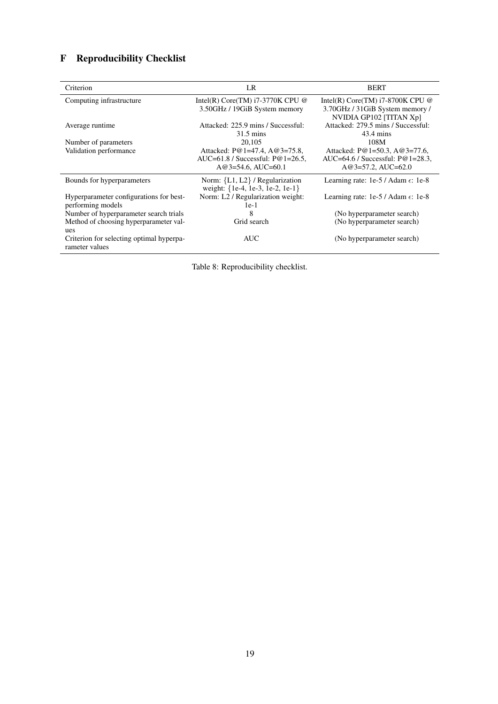# <span id="page-18-0"></span>F Reproducibility Checklist

| Criterion                                                    | LR                                                                                            | <b>BERT</b>                                                                                      |
|--------------------------------------------------------------|-----------------------------------------------------------------------------------------------|--------------------------------------------------------------------------------------------------|
| Computing infrastructure                                     | Intel(R) Core(TM) $i7-3770K$ CPU @<br>3.50GHz / 19GiB System memory                           | Intel(R) Core(TM) $i7-8700K$ CPU @<br>3.70GHz / 31GiB System memory /<br>NVIDIA GP102 [TITAN Xp] |
| Average runtime                                              | Attacked: 225.9 mins / Successful:<br>31.5 mins                                               | Attacked: 279.5 mins / Successful:<br>43.4 mins                                                  |
| Number of parameters                                         | 20,105                                                                                        | 108M                                                                                             |
| Validation performance                                       | Attacked: P@1=47.4, A@3=75.8,<br>AUC=61.8 / Successful: $P@1=26.5$ ,<br>$A@3=54.6$ , AUC=60.1 | Attacked: P@1=50.3, A@3=77.6,<br>AUC=64.6 / Successful: $P@1=28.3$ ,<br>$A@3=57.2$ , $AUC=62.0$  |
| Bounds for hyperparameters                                   | Norm: ${L1, L2}$ / Regularization<br>weight: {1e-4, 1e-3, 1e-2, 1e-1}                         | Learning rate: $1e-5/$ Adam $\epsilon$ : 1e-8                                                    |
| Hyperparameter configurations for best-<br>performing models | Norm: L2 / Regularization weight:<br>$1e-1$                                                   | Learning rate: $1e-5/$ Adam $\epsilon$ : 1e-8                                                    |
| Number of hyperparameter search trials                       | 8                                                                                             | (No hyperparameter search)                                                                       |
| Method of choosing hyperparameter val-<br>ues                | Grid search                                                                                   | (No hyperparameter search)                                                                       |
| Criterion for selecting optimal hyperpa-<br>rameter values   | <b>AUC</b>                                                                                    | (No hyperparameter search)                                                                       |

Table 8: Reproducibility checklist.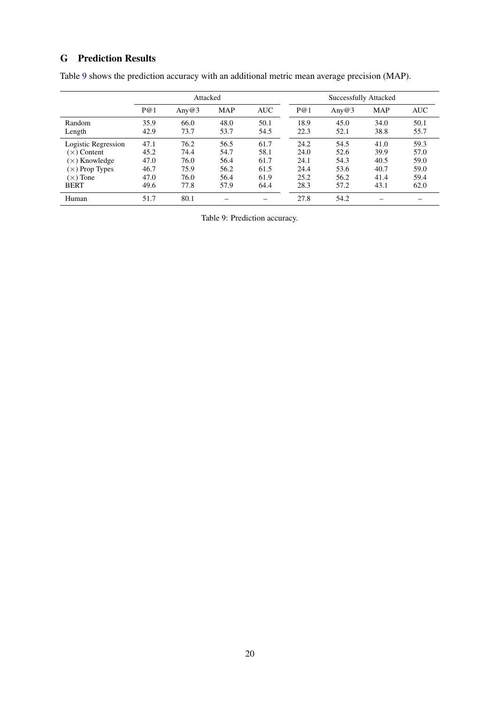# G Prediction Results

<span id="page-19-0"></span>

|                       | Attacked |          |            | Successfully Attacked |      |       |            |            |
|-----------------------|----------|----------|------------|-----------------------|------|-------|------------|------------|
|                       | P@1      | Any $@3$ | <b>MAP</b> | <b>AUC</b>            | P@1  | Any@3 | <b>MAP</b> | <b>AUC</b> |
| Random                | 35.9     | 66.0     | 48.0       | 50.1                  | 18.9 | 45.0  | 34.0       | 50.1       |
| Length                | 42.9     | 73.7     | 53.7       | 54.5                  | 22.3 | 52.1  | 38.8       | 55.7       |
| Logistic Regression   | 47.1     | 76.2     | 56.5       | 61.7                  | 24.2 | 54.5  | 41.0       | 59.3       |
| $(x)$ Content         | 45.2     | 74.4     | 54.7       | 58.1                  | 24.0 | 52.6  | 39.9       | 57.0       |
| $(x)$ Knowledge       | 47.0     | 76.0     | 56.4       | 61.7                  | 24.1 | 54.3  | 40.5       | 59.0       |
| $(\times)$ Prop Types | 46.7     | 75.9     | 56.2       | 61.5                  | 24.4 | 53.6  | 40.7       | 59.0       |
| $(x)$ Tone            | 47.0     | 76.0     | 56.4       | 61.9                  | 25.2 | 56.2  | 41.4       | 59.4       |
| <b>BERT</b>           | 49.6     | 77.8     | 57.9       | 64.4                  | 28.3 | 57.2  | 43.1       | 62.0       |
| Human                 | 51.7     | 80.1     |            |                       | 27.8 | 54.2  |            |            |

Table [9](#page-19-0) shows the prediction accuracy with an additional metric mean average precision (MAP).

Table 9: Prediction accuracy.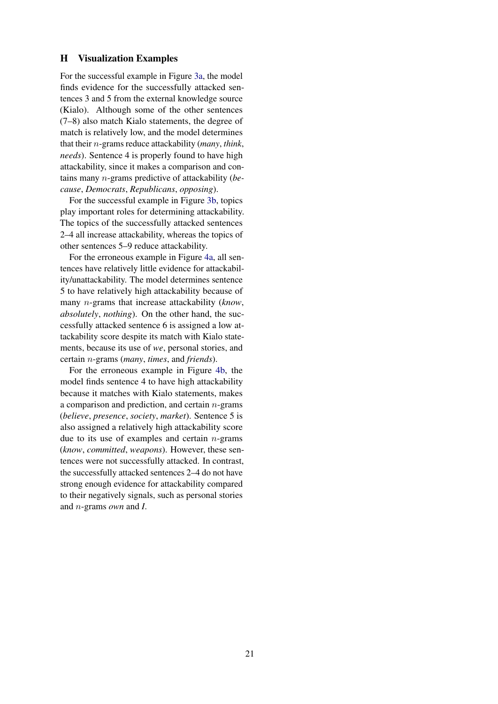#### <span id="page-20-0"></span>H Visualization Examples

For the successful example in Figure [3a,](#page-21-0) the model finds evidence for the successfully attacked sentences 3 and 5 from the external knowledge source (Kialo). Although some of the other sentences (7–8) also match Kialo statements, the degree of match is relatively low, and the model determines that their n-grams reduce attackability (*many*, *think*, *needs*). Sentence 4 is properly found to have high attackability, since it makes a comparison and contains many n-grams predictive of attackability (*because*, *Democrats*, *Republicans*, *opposing*).

For the successful example in Figure [3b,](#page-21-0) topics play important roles for determining attackability. The topics of the successfully attacked sentences 2–4 all increase attackability, whereas the topics of other sentences 5–9 reduce attackability.

For the erroneous example in Figure [4a,](#page-22-0) all sentences have relatively little evidence for attackability/unattackability. The model determines sentence 5 to have relatively high attackability because of many n-grams that increase attackability (*know*, *absolutely*, *nothing*). On the other hand, the successfully attacked sentence 6 is assigned a low attackability score despite its match with Kialo statements, because its use of *we*, personal stories, and certain n-grams (*many*, *times*, and *friends*).

For the erroneous example in Figure [4b,](#page-22-0) the model finds sentence 4 to have high attackability because it matches with Kialo statements, makes a comparison and prediction, and certain  $n$ -grams (*believe*, *presence*, *society*, *market*). Sentence 5 is also assigned a relatively high attackability score due to its use of examples and certain  $n$ -grams (*know*, *committed*, *weapons*). However, these sentences were not successfully attacked. In contrast, the successfully attacked sentences 2–4 do not have strong enough evidence for attackability compared to their negatively signals, such as personal stories and n-grams *own* and *I*.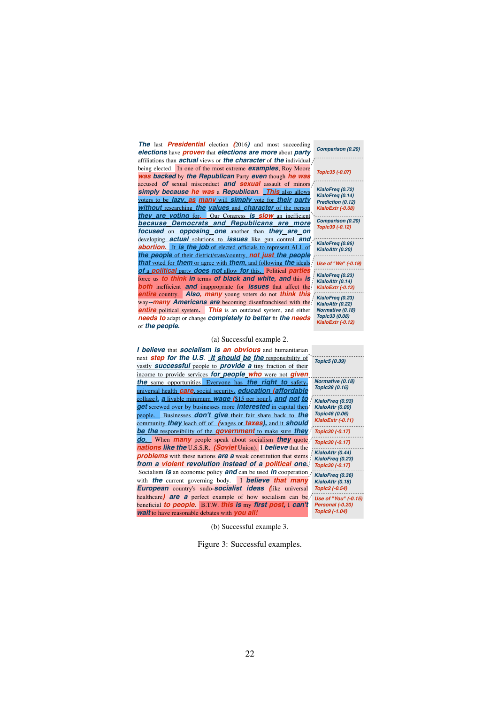<span id="page-21-0"></span>*The* last *Presidential* election *(*2016*)* and most succeeding *elections* have *proven* that *elections are more* about *party* affiliations than *actual* views or *the character* of *the* individual being elected. In one of the most extreme *examples*, Roy Moore *was backed* by *the Republican* Party *even* though *he was* accused *of* sexual misconduct *and sexual* assault of minors *simply because he was* a *Republican*. *This* also allows voters to be *lazy*, *as many* will *simply* vote for *their party without* researching *the values* and *character* of the person *they are voting* for*.* Our Congress *is slow* an inefficient *because Democrats and Republicans are more focused* on *opposing one* another than *they are on* developing *actual* solutions to *issues* like gun control *and* **abortion.** It is the job of elected officials to represent ALL of *the people* of their district/state/country, *not just the people that* voted for *them* or agree with *them*, and following *the* ideals *of* a *political* party *does not* allow *for* this. Political *parti* force us *to think in* terms *of black and white, and* this *is both* inefficient *and* inappropriate for *issues* that affect the *entire* country. *Also, many* young voters do not *think this* way*--many Americans are* becoming disenfranchised with the **entire** political system. **This** is an outdated system, and either *needs to* adapt or change *completely to better* fit *the needs*<br>of *the neonle* of *the people.*

#### (a) Successful example 2.

*I* realize *I* have *a* bias because *I grew up in a* big *city* people. Businesses *don't give* their fair share back to *the community they leach off of <i>(wages or taxes), and it should be the responsibility of the government* to make sure *they* **do**. When *many* people speak about socialism **they** quote<sub>r</sub> *nations like the* U.S.S.R. *(Soviet Union).* I *believe* that the *problems* with these nations *are a* weak constitution that stems even for *hunting*. *I think* hunters *should use* bows *from a violent revolution instead of a political one. IS* an economic policy **and** can be used *in* cooperation, with *the* current governing body. I **believe that many** *European* country's sudo-socialist *ideas* (like universal *healthcare*) *are a* perfect example of how socialism can be *beneficial to people*. B.T.W. *this is* my *first post,* I *can't wait* to have reasonable debates with *you all! wait* to have reasonable debates with *you all!* Erroneous 2 (t3\_95wq12) collage*), a* livable minimum *wage (*\$15 per hour*), and not to I believe* that *socialism is an obvious* and humanitarian next *step for the U.S*. *It should be the* responsibility of vastly *successful* people to *provide a* tiny fraction of their income to provide services *for people who* were not *given the* same opportunities. Everyone has *the right to* safety*,* universal health *care*, social security*, education (affordable get* screwed over by businesses more *interested* in capital then

*Comparison (0.20)* . . . . . . . . . . . .

*KialoFreq (0.72) KialoFreq (0.14) Prediction (0.12) KialoExtr (-0.08)*

*Topic35 (-0.07)*

*Comparison (0.20) Topic39 (-0.12)*

*KialoFreq (0.86) KialoAttr (0.20) Use of "We" (-0.19) KialoFreq (0.23) KialoAttr (0.14) KialoExtr (-0.12) KialoFreq (0.23) KialoAttr (0.22) Normative (0.18) Topic33 (0.08) KialoExtr (-0.12)*

*Topic5 (0.39) Normative (0.18)*

*KialoFreq (0.78) Comparison (0.20) KialoExtr (-0.11) Topic43 (0.19) KialoAttr (0.13) Topic30 (-0.17) Use of "We" (-0.19) Topic30 (-0.17) Personal (-0.20) Topic43 (0.19) KialoAttr (0.44) Topic43 (0.19) Topic30 (-0.17) Normative (0.18) Topic43 (0.19) Personal (-0.20) KialoAttr (0.18) KialoFreq (0.75) Comparison (0.20) Use of "You" (-0.15) Topic43 (0.19) Personal (-0.20) Prediction (0.12) Topic9 (-1.04) Topic28 (0.16) KialoFreq (0.93) KialoAttr (0.09) Topic46 (0.06) KialoFreq (0.23) KialoFreq (0.36) Topic2 (-0.54)*

*KialoAttr (0.06)*

(b) Successful example 3.

show *parking* lot using cash *and* with *no*

*Figure* 3: *Successful examples* Figure 3: Successful examples.